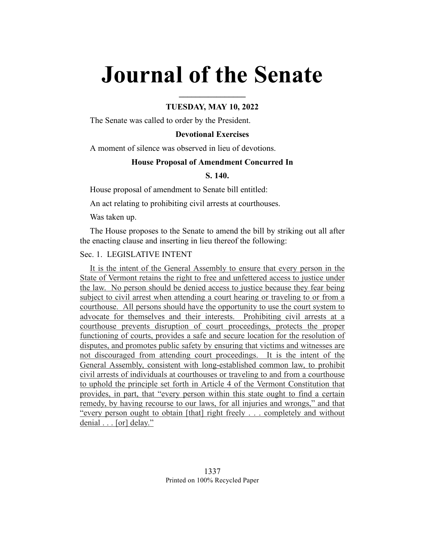# **Journal of the Senate**

# **TUESDAY, MAY 10, 2022**

**\_\_\_\_\_\_\_\_\_\_\_\_\_\_\_\_**

The Senate was called to order by the President.

## **Devotional Exercises**

A moment of silence was observed in lieu of devotions.

## **House Proposal of Amendment Concurred In**

# **S. 140.**

House proposal of amendment to Senate bill entitled:

An act relating to prohibiting civil arrests at courthouses.

Was taken up.

The House proposes to the Senate to amend the bill by striking out all after the enacting clause and inserting in lieu thereof the following:

# Sec. 1. LEGISLATIVE INTENT

It is the intent of the General Assembly to ensure that every person in the State of Vermont retains the right to free and unfettered access to justice under the law. No person should be denied access to justice because they fear being subject to civil arrest when attending a court hearing or traveling to or from a courthouse. All persons should have the opportunity to use the court system to advocate for themselves and their interests. Prohibiting civil arrests at a courthouse prevents disruption of court proceedings, protects the proper functioning of courts, provides a safe and secure location for the resolution of disputes, and promotes public safety by ensuring that victims and witnesses are not discouraged from attending court proceedings. It is the intent of the General Assembly, consistent with long-established common law, to prohibit civil arrests of individuals at courthouses or traveling to and from a courthouse to uphold the principle set forth in Article 4 of the Vermont Constitution that provides, in part, that "every person within this state ought to find a certain remedy, by having recourse to our laws, for all injuries and wrongs," and that "every person ought to obtain [that] right freely . . . completely and without denial . . . [or] delay."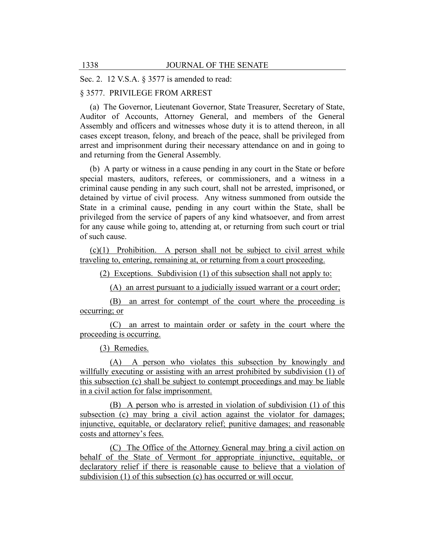Sec. 2. 12 V.S.A. § 3577 is amended to read:

# § 3577. PRIVILEGE FROM ARREST

(a) The Governor, Lieutenant Governor, State Treasurer, Secretary of State, Auditor of Accounts, Attorney General, and members of the General Assembly and officers and witnesses whose duty it is to attend thereon, in all cases except treason, felony, and breach of the peace, shall be privileged from arrest and imprisonment during their necessary attendance on and in going to and returning from the General Assembly.

(b) A party or witness in a cause pending in any court in the State or before special masters, auditors, referees, or commissioners, and a witness in a criminal cause pending in any such court, shall not be arrested, imprisoned, or detained by virtue of civil process. Any witness summoned from outside the State in a criminal cause, pending in any court within the State, shall be privileged from the service of papers of any kind whatsoever, and from arrest for any cause while going to, attending at, or returning from such court or trial of such cause.

(c)(1) Prohibition. A person shall not be subject to civil arrest while traveling to, entering, remaining at, or returning from a court proceeding.

(2) Exceptions. Subdivision (1) of this subsection shall not apply to:

(A) an arrest pursuant to a judicially issued warrant or a court order;

(B) an arrest for contempt of the court where the proceeding is occurring; or

(C) an arrest to maintain order or safety in the court where the proceeding is occurring.

(3) Remedies.

(A) A person who violates this subsection by knowingly and willfully executing or assisting with an arrest prohibited by subdivision (1) of this subsection (c) shall be subject to contempt proceedings and may be liable in a civil action for false imprisonment.

(B) A person who is arrested in violation of subdivision (1) of this subsection (c) may bring a civil action against the violator for damages; injunctive, equitable, or declaratory relief; punitive damages; and reasonable costs and attorney's fees.

(C) The Office of the Attorney General may bring a civil action on behalf of the State of Vermont for appropriate injunctive, equitable, or declaratory relief if there is reasonable cause to believe that a violation of subdivision (1) of this subsection (c) has occurred or will occur.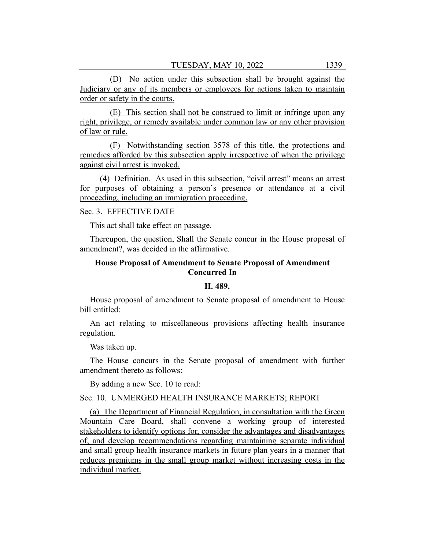(D) No action under this subsection shall be brought against the Judiciary or any of its members or employees for actions taken to maintain order or safety in the courts.

(E) This section shall not be construed to limit or infringe upon any right, privilege, or remedy available under common law or any other provision of law or rule.

(F) Notwithstanding section 3578 of this title, the protections and remedies afforded by this subsection apply irrespective of when the privilege against civil arrest is invoked.

(4) Definition. As used in this subsection, "civil arrest" means an arrest for purposes of obtaining a person's presence or attendance at a civil proceeding, including an immigration proceeding.

# Sec. 3. EFFECTIVE DATE

This act shall take effect on passage.

Thereupon, the question, Shall the Senate concur in the House proposal of amendment?, was decided in the affirmative.

# **House Proposal of Amendment to Senate Proposal of Amendment Concurred In**

# **H. 489.**

House proposal of amendment to Senate proposal of amendment to House bill entitled:

An act relating to miscellaneous provisions affecting health insurance regulation.

Was taken up.

The House concurs in the Senate proposal of amendment with further amendment thereto as follows:

By adding a new Sec. 10 to read:

# Sec. 10. UNMERGED HEALTH INSURANCE MARKETS; REPORT

(a) The Department of Financial Regulation, in consultation with the Green Mountain Care Board, shall convene a working group of interested stakeholders to identify options for, consider the advantages and disadvantages of, and develop recommendations regarding maintaining separate individual and small group health insurance markets in future plan years in a manner that reduces premiums in the small group market without increasing costs in the individual market.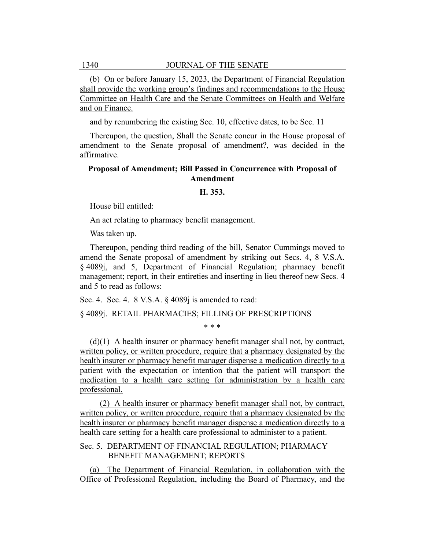(b) On or before January 15, 2023, the Department of Financial Regulation shall provide the working group's findings and recommendations to the House Committee on Health Care and the Senate Committees on Health and Welfare and on Finance.

and by renumbering the existing Sec. 10, effective dates, to be Sec. 11

Thereupon, the question, Shall the Senate concur in the House proposal of amendment to the Senate proposal of amendment?, was decided in the affirmative.

# **Proposal of Amendment; Bill Passed in Concurrence with Proposal of Amendment**

#### **H. 353.**

House bill entitled:

An act relating to pharmacy benefit management.

Was taken up.

Thereupon, pending third reading of the bill, Senator Cummings moved to amend the Senate proposal of amendment by striking out Secs. 4, 8 V.S.A. § 4089j, and 5, Department of Financial Regulation; pharmacy benefit management; report, in their entireties and inserting in lieu thereof new Secs. 4 and 5 to read as follows:

Sec. 4. Sec. 4. 8 V.S.A. § 4089j is amended to read:

§ 4089j. RETAIL PHARMACIES; FILLING OF PRESCRIPTIONS

\* \* \*

(d)(1) A health insurer or pharmacy benefit manager shall not, by contract, written policy, or written procedure, require that a pharmacy designated by the health insurer or pharmacy benefit manager dispense a medication directly to a patient with the expectation or intention that the patient will transport the medication to a health care setting for administration by a health care professional.

(2) A health insurer or pharmacy benefit manager shall not, by contract, written policy, or written procedure, require that a pharmacy designated by the health insurer or pharmacy benefit manager dispense a medication directly to a health care setting for a health care professional to administer to a patient.

Sec. 5. DEPARTMENT OF FINANCIAL REGULATION; PHARMACY BENEFIT MANAGEMENT; REPORTS

(a) The Department of Financial Regulation, in collaboration with the Office of Professional Regulation, including the Board of Pharmacy, and the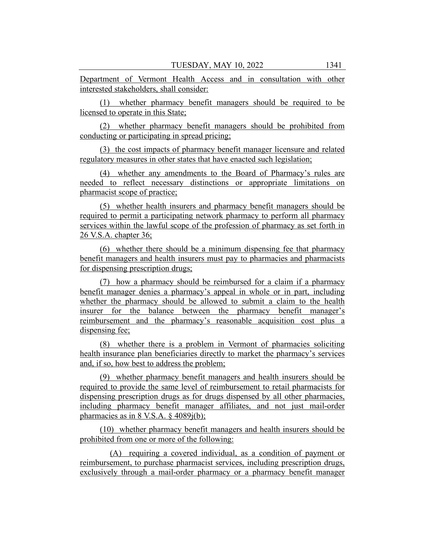Department of Vermont Health Access and in consultation with other interested stakeholders, shall consider:

(1) whether pharmacy benefit managers should be required to be licensed to operate in this State;

(2) whether pharmacy benefit managers should be prohibited from conducting or participating in spread pricing;

(3) the cost impacts of pharmacy benefit manager licensure and related regulatory measures in other states that have enacted such legislation;

(4) whether any amendments to the Board of Pharmacy's rules are needed to reflect necessary distinctions or appropriate limitations on pharmacist scope of practice;

(5) whether health insurers and pharmacy benefit managers should be required to permit a participating network pharmacy to perform all pharmacy services within the lawful scope of the profession of pharmacy as set forth in 26 V.S.A. chapter 36;

(6) whether there should be a minimum dispensing fee that pharmacy benefit managers and health insurers must pay to pharmacies and pharmacists for dispensing prescription drugs;

(7) how a pharmacy should be reimbursed for a claim if a pharmacy benefit manager denies a pharmacy's appeal in whole or in part, including whether the pharmacy should be allowed to submit a claim to the health insurer for the balance between the pharmacy benefit manager's reimbursement and the pharmacy's reasonable acquisition cost plus a dispensing fee;

(8) whether there is a problem in Vermont of pharmacies soliciting health insurance plan beneficiaries directly to market the pharmacy's services and, if so, how best to address the problem;

(9) whether pharmacy benefit managers and health insurers should be required to provide the same level of reimbursement to retail pharmacists for dispensing prescription drugs as for drugs dispensed by all other pharmacies, including pharmacy benefit manager affiliates, and not just mail-order pharmacies as in 8 V.S.A.  $\frac{6}{7}$  4089j(b);

(10) whether pharmacy benefit managers and health insurers should be prohibited from one or more of the following:

(A) requiring a covered individual, as a condition of payment or reimbursement, to purchase pharmacist services, including prescription drugs, exclusively through a mail-order pharmacy or a pharmacy benefit manager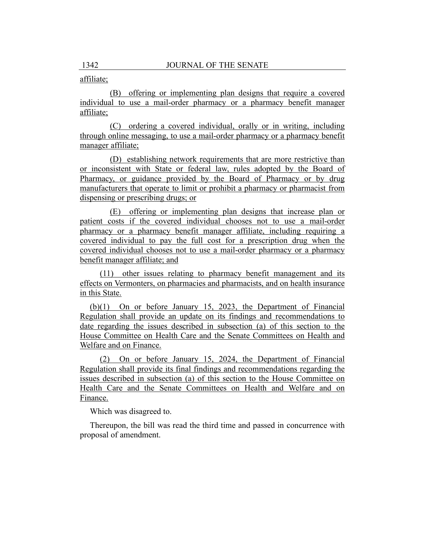# affiliate;

(B) offering or implementing plan designs that require a covered individual to use a mail-order pharmacy or a pharmacy benefit manager affiliate;

(C) ordering a covered individual, orally or in writing, including through online messaging, to use a mail-order pharmacy or a pharmacy benefit manager affiliate;

(D) establishing network requirements that are more restrictive than or inconsistent with State or federal law, rules adopted by the Board of Pharmacy, or guidance provided by the Board of Pharmacy or by drug manufacturers that operate to limit or prohibit a pharmacy or pharmacist from dispensing or prescribing drugs; or

(E) offering or implementing plan designs that increase plan or patient costs if the covered individual chooses not to use a mail-order pharmacy or a pharmacy benefit manager affiliate, including requiring a covered individual to pay the full cost for a prescription drug when the covered individual chooses not to use a mail-order pharmacy or a pharmacy benefit manager affiliate; and

(11) other issues relating to pharmacy benefit management and its effects on Vermonters, on pharmacies and pharmacists, and on health insurance in this State.

(b)(1) On or before January 15, 2023, the Department of Financial Regulation shall provide an update on its findings and recommendations to date regarding the issues described in subsection (a) of this section to the House Committee on Health Care and the Senate Committees on Health and Welfare and on Finance.

(2) On or before January 15, 2024, the Department of Financial Regulation shall provide its final findings and recommendations regarding the issues described in subsection (a) of this section to the House Committee on Health Care and the Senate Committees on Health and Welfare and on Finance.

Which was disagreed to.

Thereupon, the bill was read the third time and passed in concurrence with proposal of amendment.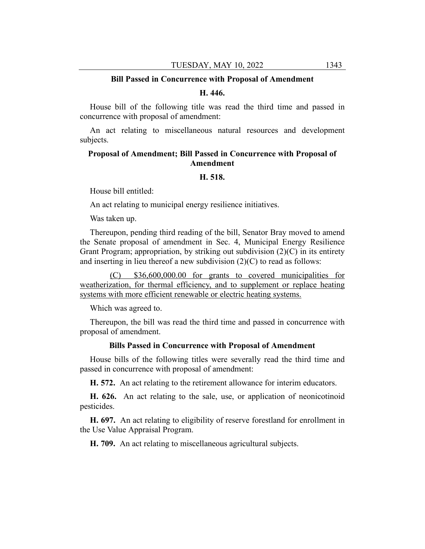#### **Bill Passed in Concurrence with Proposal of Amendment**

#### **H. 446.**

House bill of the following title was read the third time and passed in concurrence with proposal of amendment:

An act relating to miscellaneous natural resources and development subjects.

# **Proposal of Amendment; Bill Passed in Concurrence with Proposal of Amendment**

#### **H. 518.**

House bill entitled:

An act relating to municipal energy resilience initiatives.

Was taken up.

Thereupon, pending third reading of the bill, Senator Bray moved to amend the Senate proposal of amendment in Sec. 4, Municipal Energy Resilience Grant Program; appropriation, by striking out subdivision (2)(C) in its entirety and inserting in lieu thereof a new subdivision  $(2)(C)$  to read as follows:

(C) \$36,600,000.00 for grants to covered municipalities for weatherization, for thermal efficiency, and to supplement or replace heating systems with more efficient renewable or electric heating systems.

Which was agreed to.

Thereupon, the bill was read the third time and passed in concurrence with proposal of amendment.

#### **Bills Passed in Concurrence with Proposal of Amendment**

House bills of the following titles were severally read the third time and passed in concurrence with proposal of amendment:

**H. 572.** An act relating to the retirement allowance for interim educators.

**H. 626.** An act relating to the sale, use, or application of neonicotinoid pesticides.

**H. 697.** An act relating to eligibility of reserve forestland for enrollment in the Use Value Appraisal Program.

**H. 709.** An act relating to miscellaneous agricultural subjects.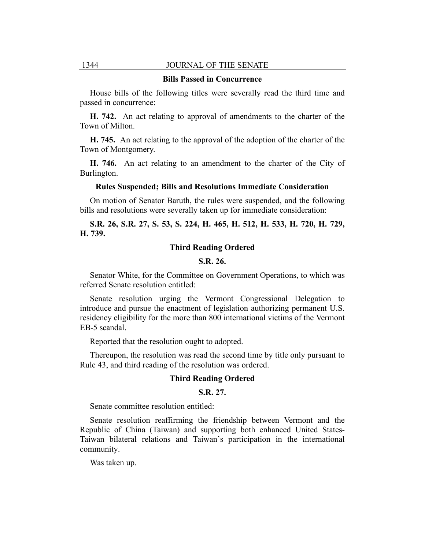## 1344 JOURNAL OF THE SENATE

#### **Bills Passed in Concurrence**

House bills of the following titles were severally read the third time and passed in concurrence:

**H. 742.** An act relating to approval of amendments to the charter of the Town of Milton.

**H. 745.** An act relating to the approval of the adoption of the charter of the Town of Montgomery.

**H. 746.** An act relating to an amendment to the charter of the City of Burlington.

#### **Rules Suspended; Bills and Resolutions Immediate Consideration**

On motion of Senator Baruth, the rules were suspended, and the following bills and resolutions were severally taken up for immediate consideration:

**S.R. 26, S.R. 27, S. 53, S. 224, H. 465, H. 512, H. 533, H. 720, H. 729, H. 739.**

# **Third Reading Ordered**

#### **S.R. 26.**

Senator White, for the Committee on Government Operations, to which was referred Senate resolution entitled:

Senate resolution urging the Vermont Congressional Delegation to introduce and pursue the enactment of legislation authorizing permanent U.S. residency eligibility for the more than 800 international victims of the Vermont EB-5 scandal.

Reported that the resolution ought to adopted.

Thereupon, the resolution was read the second time by title only pursuant to Rule 43, and third reading of the resolution was ordered.

#### **Third Reading Ordered**

#### **S.R. 27.**

Senate committee resolution entitled:

Senate resolution reaffirming the friendship between Vermont and the Republic of China (Taiwan) and supporting both enhanced United States-Taiwan bilateral relations and Taiwan's participation in the international community.

Was taken up.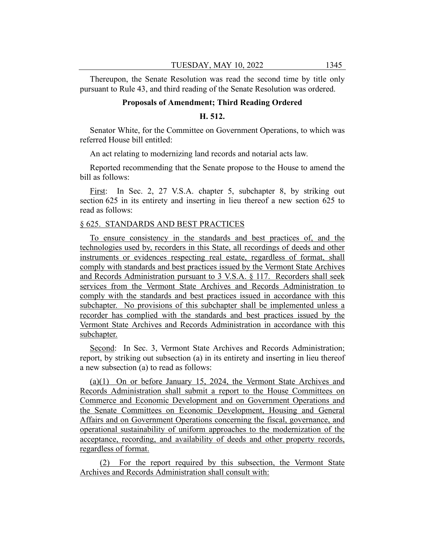Thereupon, the Senate Resolution was read the second time by title only pursuant to Rule 43, and third reading of the Senate Resolution was ordered.

#### **Proposals of Amendment; Third Reading Ordered**

## **H. 512.**

Senator White, for the Committee on Government Operations, to which was referred House bill entitled:

An act relating to modernizing land records and notarial acts law.

Reported recommending that the Senate propose to the House to amend the bill as follows:

First: In Sec. 2, 27 V.S.A. chapter 5, subchapter 8, by striking out section 625 in its entirety and inserting in lieu thereof a new section 625 to read as follows:

#### § 625. STANDARDS AND BEST PRACTICES

To ensure consistency in the standards and best practices of, and the technologies used by, recorders in this State, all recordings of deeds and other instruments or evidences respecting real estate, regardless of format, shall comply with standards and best practices issued by the Vermont State Archives and Records Administration pursuant to 3 V.S.A. § 117. Recorders shall seek services from the Vermont State Archives and Records Administration to comply with the standards and best practices issued in accordance with this subchapter. No provisions of this subchapter shall be implemented unless a recorder has complied with the standards and best practices issued by the Vermont State Archives and Records Administration in accordance with this subchapter.

Second: In Sec. 3, Vermont State Archives and Records Administration; report, by striking out subsection (a) in its entirety and inserting in lieu thereof a new subsection (a) to read as follows:

(a)(1) On or before January 15, 2024, the Vermont State Archives and Records Administration shall submit a report to the House Committees on Commerce and Economic Development and on Government Operations and the Senate Committees on Economic Development, Housing and General Affairs and on Government Operations concerning the fiscal, governance, and operational sustainability of uniform approaches to the modernization of the acceptance, recording, and availability of deeds and other property records, regardless of format.

(2) For the report required by this subsection, the Vermont State Archives and Records Administration shall consult with: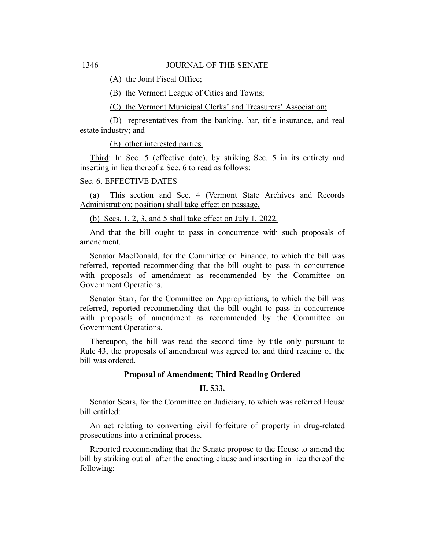(A) the Joint Fiscal Office;

(B) the Vermont League of Cities and Towns;

(C) the Vermont Municipal Clerks' and Treasurers' Association;

(D) representatives from the banking, bar, title insurance, and real estate industry; and

(E) other interested parties.

Third: In Sec. 5 (effective date), by striking Sec. 5 in its entirety and inserting in lieu thereof a Sec. 6 to read as follows:

#### Sec. 6. EFFECTIVE DATES

(a) This section and Sec. 4 (Vermont State Archives and Records Administration; position) shall take effect on passage.

(b) Secs. 1, 2, 3, and 5 shall take effect on July 1, 2022.

And that the bill ought to pass in concurrence with such proposals of amendment.

Senator MacDonald, for the Committee on Finance, to which the bill was referred, reported recommending that the bill ought to pass in concurrence with proposals of amendment as recommended by the Committee on Government Operations.

Senator Starr, for the Committee on Appropriations, to which the bill was referred, reported recommending that the bill ought to pass in concurrence with proposals of amendment as recommended by the Committee on Government Operations.

Thereupon, the bill was read the second time by title only pursuant to Rule 43, the proposals of amendment was agreed to, and third reading of the bill was ordered.

## **Proposal of Amendment; Third Reading Ordered**

# **H. 533.**

Senator Sears, for the Committee on Judiciary, to which was referred House bill entitled:

An act relating to converting civil forfeiture of property in drug-related prosecutions into a criminal process.

Reported recommending that the Senate propose to the House to amend the bill by striking out all after the enacting clause and inserting in lieu thereof the following: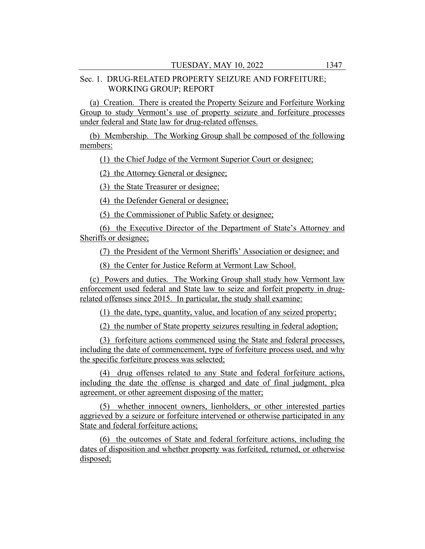# Sec. 1. DRUG-RELATED PROPERTY SEIZURE AND FORFEITURE; WORKING GROUP; REPORT

(a) Creation. There is created the Property Seizure and Forfeiture Working Group to study Vermont's use of property seizure and forfeiture processes under federal and State law for drug-related offenses.

(b) Membership. The Working Group shall be composed of the following members:

(1) the Chief Judge of the Vermont Superior Court or designee;

(2) the Attorney General or designee;

(3) the State Treasurer or designee;

(4) the Defender General or designee;

(5) the Commissioner of Public Safety or designee;

(6) the Executive Director of the Department of State's Attorney and Sheriffs or designee;

(7) the President of the Vermont Sheriffs' Association or designee; and

(8) the Center for Justice Reform at Vermont Law School.

(c) Powers and duties. The Working Group shall study how Vermont law enforcement used federal and State law to seize and forfeit property in drugrelated offenses since 2015. In particular, the study shall examine:

(1) the date, type, quantity, value, and location of any seized property;

(2) the number of State property seizures resulting in federal adoption;

(3) forfeiture actions commenced using the State and federal processes, including the date of commencement, type of forfeiture process used, and why the specific forfeiture process was selected;

(4) drug offenses related to any State and federal forfeiture actions, including the date the offense is charged and date of final judgment, plea agreement, or other agreement disposing of the matter;

(5) whether innocent owners, lienholders, or other interested parties aggrieved by a seizure or forfeiture intervened or otherwise participated in any State and federal forfeiture actions;

(6) the outcomes of State and federal forfeiture actions, including the dates of disposition and whether property was forfeited, returned, or otherwise disposed;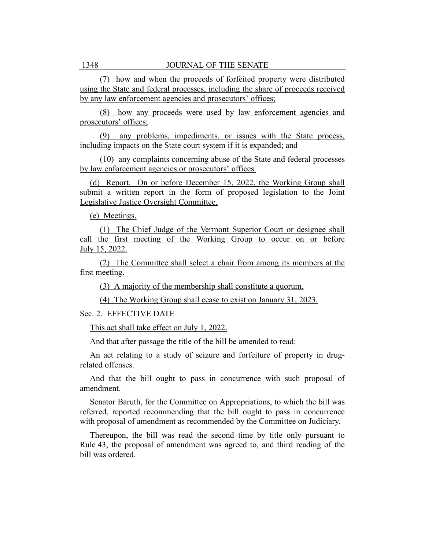(7) how and when the proceeds of forfeited property were distributed using the State and federal processes, including the share of proceeds received by any law enforcement agencies and prosecutors' offices;

(8) how any proceeds were used by law enforcement agencies and prosecutors' offices;

(9) any problems, impediments, or issues with the State process, including impacts on the State court system if it is expanded; and

(10) any complaints concerning abuse of the State and federal processes by law enforcement agencies or prosecutors' offices.

(d) Report. On or before December 15, 2022, the Working Group shall submit a written report in the form of proposed legislation to the Joint Legislative Justice Oversight Committee.

(e) Meetings.

(1) The Chief Judge of the Vermont Superior Court or designee shall call the first meeting of the Working Group to occur on or before July 15, 2022.

(2) The Committee shall select a chair from among its members at the first meeting.

(3) A majority of the membership shall constitute a quorum.

(4) The Working Group shall cease to exist on January 31, 2023.

Sec. 2. EFFECTIVE DATE

This act shall take effect on July 1, 2022.

And that after passage the title of the bill be amended to read:

An act relating to a study of seizure and forfeiture of property in drugrelated offenses.

And that the bill ought to pass in concurrence with such proposal of amendment.

Senator Baruth, for the Committee on Appropriations, to which the bill was referred, reported recommending that the bill ought to pass in concurrence with proposal of amendment as recommended by the Committee on Judiciary.

Thereupon, the bill was read the second time by title only pursuant to Rule 43, the proposal of amendment was agreed to, and third reading of the bill was ordered.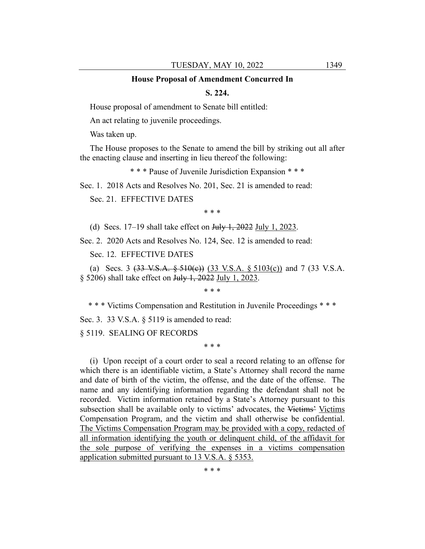#### **House Proposal of Amendment Concurred In**

## **S. 224.**

House proposal of amendment to Senate bill entitled:

An act relating to juvenile proceedings.

Was taken up.

The House proposes to the Senate to amend the bill by striking out all after the enacting clause and inserting in lieu thereof the following:

\* \* \* Pause of Juvenile Jurisdiction Expansion \* \* \*

Sec. 1. 2018 Acts and Resolves No. 201, Sec. 21 is amended to read:

Sec. 21. EFFECTIVE DATES

\* \* \*

(d) Secs.  $17-19$  shall take effect on July 1,  $2022$  July 1,  $2023$ .

Sec. 2. 2020 Acts and Resolves No. 124, Sec. 12 is amended to read:

Sec. 12. EFFECTIVE DATES

(a) Secs. 3  $(33 \text{ V.S.A.} \frac{6}{510(c)})$   $(33 \text{ V.S.A.} \frac{6}{5103(c)})$  and 7  $(33 \text{ V.S.A.})$ § 5206) shall take effect on <del>July 1, 2022</del> July 1, 2023.

\* \* \*

\* \* \* Victims Compensation and Restitution in Juvenile Proceedings \* \* \*

Sec. 3. 33 V.S.A. § 5119 is amended to read:

§ 5119. SEALING OF RECORDS

\* \* \*

(i) Upon receipt of a court order to seal a record relating to an offense for which there is an identifiable victim, a State's Attorney shall record the name and date of birth of the victim, the offense, and the date of the offense. The name and any identifying information regarding the defendant shall not be recorded. Victim information retained by a State's Attorney pursuant to this subsection shall be available only to victims' advocates, the Victims' Victims Compensation Program, and the victim and shall otherwise be confidential. The Victims Compensation Program may be provided with a copy, redacted of all information identifying the youth or delinquent child, of the affidavit for the sole purpose of verifying the expenses in a victims compensation application submitted pursuant to 13 V.S.A. § 5353.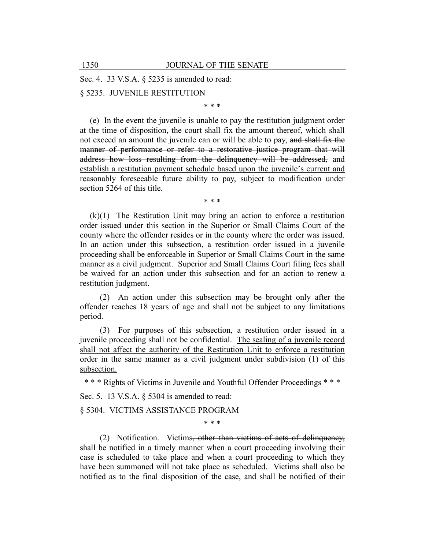Sec. 4. 33 V.S.A. § 5235 is amended to read:

§ 5235. JUVENILE RESTITUTION

\* \* \*

(e) In the event the juvenile is unable to pay the restitution judgment order at the time of disposition, the court shall fix the amount thereof, which shall not exceed an amount the juvenile can or will be able to pay, and shall fix the manner of performance or refer to a restorative justice program that will address how loss resulting from the delinquency will be addressed, and establish a restitution payment schedule based upon the juvenile's current and reasonably foreseeable future ability to pay, subject to modification under section 5264 of this title.

\* \* \*

 $(k)(1)$  The Restitution Unit may bring an action to enforce a restitution order issued under this section in the Superior or Small Claims Court of the county where the offender resides or in the county where the order was issued. In an action under this subsection, a restitution order issued in a juvenile proceeding shall be enforceable in Superior or Small Claims Court in the same manner as a civil judgment. Superior and Small Claims Court filing fees shall be waived for an action under this subsection and for an action to renew a restitution judgment.

(2) An action under this subsection may be brought only after the offender reaches 18 years of age and shall not be subject to any limitations period.

(3) For purposes of this subsection, a restitution order issued in a juvenile proceeding shall not be confidential. The sealing of a juvenile record shall not affect the authority of the Restitution Unit to enforce a restitution order in the same manner as a civil judgment under subdivision (1) of this subsection.

\* \* \* Rights of Victims in Juvenile and Youthful Offender Proceedings \* \* \*

Sec. 5. 13 V.S.A. § 5304 is amended to read:

§ 5304. VICTIMS ASSISTANCE PROGRAM

\* \* \*

(2) Notification. Victims, other than victims of acts of delinquency, shall be notified in a timely manner when a court proceeding involving their case is scheduled to take place and when a court proceeding to which they have been summoned will not take place as scheduled. Victims shall also be notified as to the final disposition of the case, and shall be notified of their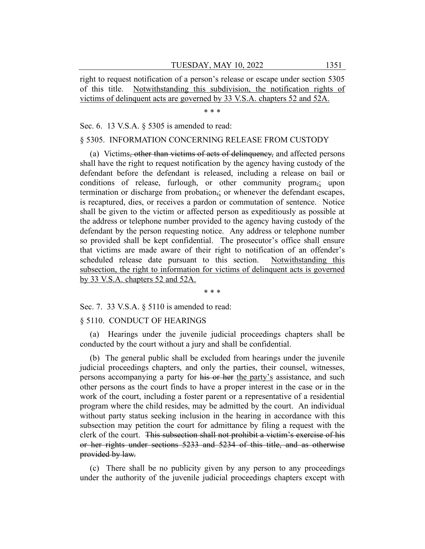right to request notification of a person's release or escape under section 5305 of this title. Notwithstanding this subdivision, the notification rights of victims of delinquent acts are governed by 33 V.S.A. chapters 52 and 52A.

\* \* \*

Sec. 6. 13 V.S.A. § 5305 is amended to read:

# § 5305. INFORMATION CONCERNING RELEASE FROM CUSTODY

(a) Victims, other than victims of acts of delinquency, and affected persons shall have the right to request notification by the agency having custody of the defendant before the defendant is released, including a release on bail or conditions of release, furlough, or other community program<sub>5</sub>; upon termination or discharge from probation,; or whenever the defendant escapes, is recaptured, dies, or receives a pardon or commutation of sentence. Notice shall be given to the victim or affected person as expeditiously as possible at the address or telephone number provided to the agency having custody of the defendant by the person requesting notice. Any address or telephone number so provided shall be kept confidential. The prosecutor's office shall ensure that victims are made aware of their right to notification of an offender's scheduled release date pursuant to this section. Notwithstanding this subsection, the right to information for victims of delinquent acts is governed by 33 V.S.A. chapters 52 and 52A.

\* \* \*

Sec. 7. 33 V.S.A. § 5110 is amended to read:

# § 5110. CONDUCT OF HEARINGS

(a) Hearings under the juvenile judicial proceedings chapters shall be conducted by the court without a jury and shall be confidential.

(b) The general public shall be excluded from hearings under the juvenile judicial proceedings chapters, and only the parties, their counsel, witnesses, persons accompanying a party for his or her the party's assistance, and such other persons as the court finds to have a proper interest in the case or in the work of the court, including a foster parent or a representative of a residential program where the child resides, may be admitted by the court. An individual without party status seeking inclusion in the hearing in accordance with this subsection may petition the court for admittance by filing a request with the clerk of the court. This subsection shall not prohibit a victim's exercise of his or her rights under sections 5233 and 5234 of this title, and as otherwise provided by law.

(c) There shall be no publicity given by any person to any proceedings under the authority of the juvenile judicial proceedings chapters except with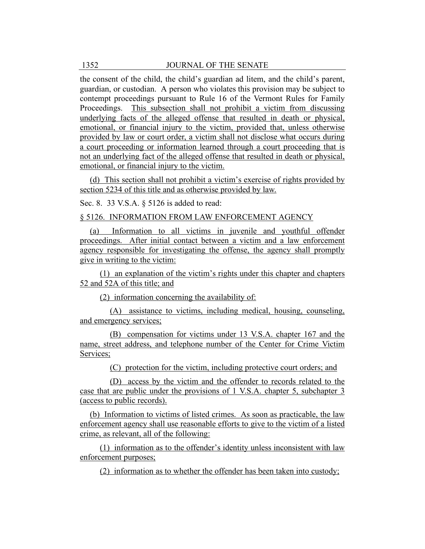the consent of the child, the child's guardian ad litem, and the child's parent, guardian, or custodian. A person who violates this provision may be subject to contempt proceedings pursuant to Rule 16 of the Vermont Rules for Family Proceedings. This subsection shall not prohibit a victim from discussing underlying facts of the alleged offense that resulted in death or physical, emotional, or financial injury to the victim, provided that, unless otherwise provided by law or court order, a victim shall not disclose what occurs during a court proceeding or information learned through a court proceeding that is not an underlying fact of the alleged offense that resulted in death or physical, emotional, or financial injury to the victim.

(d) This section shall not prohibit a victim's exercise of rights provided by section 5234 of this title and as otherwise provided by law.

Sec. 8. 33 V.S.A. § 5126 is added to read:

§ 5126. INFORMATION FROM LAW ENFORCEMENT AGENCY

(a) Information to all victims in juvenile and youthful offender proceedings. After initial contact between a victim and a law enforcement agency responsible for investigating the offense, the agency shall promptly give in writing to the victim:

(1) an explanation of the victim's rights under this chapter and chapters 52 and 52A of this title; and

(2) information concerning the availability of:

(A) assistance to victims, including medical, housing, counseling, and emergency services;

(B) compensation for victims under 13 V.S.A. chapter 167 and the name, street address, and telephone number of the Center for Crime Victim Services;

(C) protection for the victim, including protective court orders; and

(D) access by the victim and the offender to records related to the case that are public under the provisions of 1 V.S.A. chapter 5, subchapter 3 (access to public records).

(b) Information to victims of listed crimes. As soon as practicable, the law enforcement agency shall use reasonable efforts to give to the victim of a listed crime, as relevant, all of the following:

(1) information as to the offender's identity unless inconsistent with law enforcement purposes;

(2) information as to whether the offender has been taken into custody;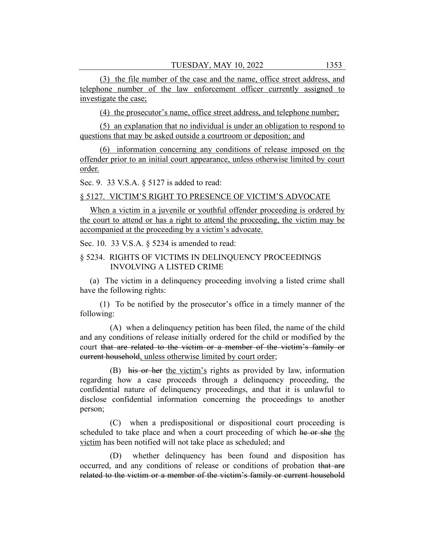(3) the file number of the case and the name, office street address, and telephone number of the law enforcement officer currently assigned to investigate the case;

(4) the prosecutor's name, office street address, and telephone number;

(5) an explanation that no individual is under an obligation to respond to questions that may be asked outside a courtroom or deposition; and

(6) information concerning any conditions of release imposed on the offender prior to an initial court appearance, unless otherwise limited by court order.

Sec. 9. 33 V.S.A. § 5127 is added to read:

#### § 5127. VICTIM'S RIGHT TO PRESENCE OF VICTIM'S ADVOCATE

When a victim in a juvenile or youthful offender proceeding is ordered by the court to attend or has a right to attend the proceeding, the victim may be accompanied at the proceeding by a victim's advocate.

Sec. 10. 33 V.S.A. § 5234 is amended to read:

# § 5234. RIGHTS OF VICTIMS IN DELINQUENCY PROCEEDINGS INVOLVING A LISTED CRIME

(a) The victim in a delinquency proceeding involving a listed crime shall have the following rights:

(1) To be notified by the prosecutor's office in a timely manner of the following:

(A) when a delinquency petition has been filed, the name of the child and any conditions of release initially ordered for the child or modified by the court that are related to the victim or a member of the victim's family or current household, unless otherwise limited by court order;

(B) his or her the victim's rights as provided by law, information regarding how a case proceeds through a delinquency proceeding, the confidential nature of delinquency proceedings, and that it is unlawful to disclose confidential information concerning the proceedings to another person;

(C) when a predispositional or dispositional court proceeding is scheduled to take place and when a court proceeding of which he or she the victim has been notified will not take place as scheduled; and

(D) whether delinquency has been found and disposition has occurred, and any conditions of release or conditions of probation that are related to the victim or a member of the victim's family or current household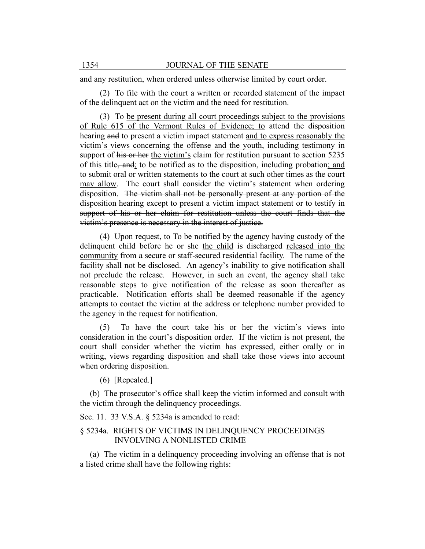and any restitution, when ordered unless otherwise limited by court order.

(2) To file with the court a written or recorded statement of the impact of the delinquent act on the victim and the need for restitution.

(3) To be present during all court proceedings subject to the provisions of Rule 615 of the Vermont Rules of Evidence; to attend the disposition hearing and to present a victim impact statement and to express reasonably the victim's views concerning the offense and the youth, including testimony in support of his or her the victim's claim for restitution pursuant to section 5235 of this title, and; to be notified as to the disposition, including probation; and to submit oral or written statements to the court at such other times as the court may allow. The court shall consider the victim's statement when ordering disposition. The victim shall not be personally present at any portion of the disposition hearing except to present a victim impact statement or to testify in support of his or her claim for restitution unless the court finds that the victim's presence is necessary in the interest of justice.

(4) Upon request, to  $\overline{I_0}$  be notified by the agency having custody of the delinquent child before he or she the child is discharged released into the community from a secure or staff-secured residential facility. The name of the facility shall not be disclosed. An agency's inability to give notification shall not preclude the release. However, in such an event, the agency shall take reasonable steps to give notification of the release as soon thereafter as practicable. Notification efforts shall be deemed reasonable if the agency attempts to contact the victim at the address or telephone number provided to the agency in the request for notification.

(5) To have the court take his or her the victim's views into consideration in the court's disposition order. If the victim is not present, the court shall consider whether the victim has expressed, either orally or in writing, views regarding disposition and shall take those views into account when ordering disposition.

(6) [Repealed.]

(b) The prosecutor's office shall keep the victim informed and consult with the victim through the delinquency proceedings.

Sec. 11. 33 V.S.A. § 5234a is amended to read:

# § 5234a. RIGHTS OF VICTIMS IN DELINQUENCY PROCEEDINGS INVOLVING A NONLISTED CRIME

(a) The victim in a delinquency proceeding involving an offense that is not a listed crime shall have the following rights: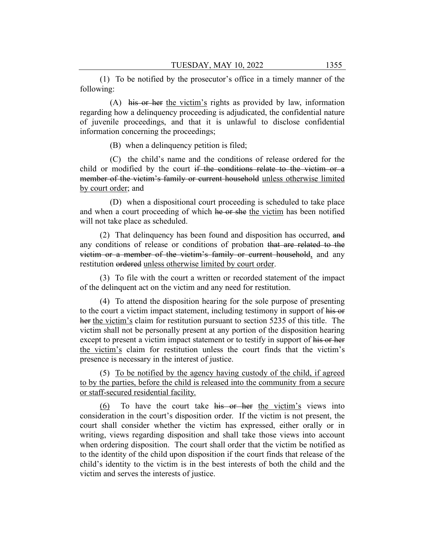(1) To be notified by the prosecutor's office in a timely manner of the following:

(A) his or her the victim's rights as provided by law, information regarding how a delinquency proceeding is adjudicated, the confidential nature of juvenile proceedings, and that it is unlawful to disclose confidential information concerning the proceedings;

(B) when a delinquency petition is filed;

(C) the child's name and the conditions of release ordered for the child or modified by the court if the conditions relate to the victim or a member of the victim's family or current household unless otherwise limited by court order; and

(D) when a dispositional court proceeding is scheduled to take place and when a court proceeding of which he or she the victim has been notified will not take place as scheduled.

(2) That delinquency has been found and disposition has occurred, and any conditions of release or conditions of probation that are related to the victim or a member of the victim's family or current household, and any restitution ordered unless otherwise limited by court order.

(3) To file with the court a written or recorded statement of the impact of the delinquent act on the victim and any need for restitution.

(4) To attend the disposition hearing for the sole purpose of presenting to the court a victim impact statement, including testimony in support of his or her the victim's claim for restitution pursuant to section 5235 of this title. The victim shall not be personally present at any portion of the disposition hearing except to present a victim impact statement or to testify in support of his or her the victim's claim for restitution unless the court finds that the victim's presence is necessary in the interest of justice.

(5) To be notified by the agency having custody of the child, if agreed to by the parties, before the child is released into the community from a secure or staff-secured residential facility.

(6) To have the court take his or her the victim's views into consideration in the court's disposition order. If the victim is not present, the court shall consider whether the victim has expressed, either orally or in writing, views regarding disposition and shall take those views into account when ordering disposition. The court shall order that the victim be notified as to the identity of the child upon disposition if the court finds that release of the child's identity to the victim is in the best interests of both the child and the victim and serves the interests of justice.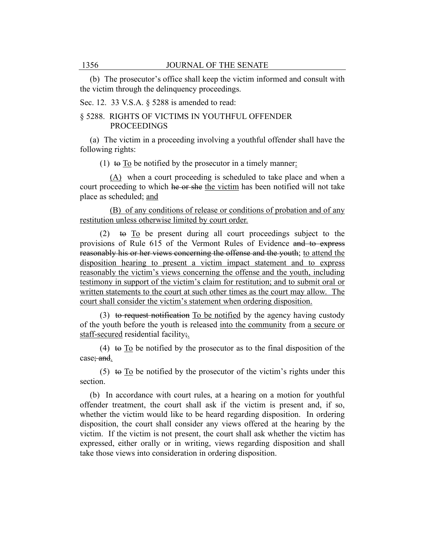(b) The prosecutor's office shall keep the victim informed and consult with the victim through the delinquency proceedings.

Sec. 12. 33 V.S.A. § 5288 is amended to read:

# § 5288. RIGHTS OF VICTIMS IN YOUTHFUL OFFENDER PROCEEDINGS

(a) The victim in a proceeding involving a youthful offender shall have the following rights:

(1) to To be notified by the prosecutor in a timely manner:

(A) when a court proceeding is scheduled to take place and when a court proceeding to which he or she the victim has been notified will not take place as scheduled; and

(B) of any conditions of release or conditions of probation and of any restitution unless otherwise limited by court order.

(2) to To be present during all court proceedings subject to the provisions of Rule 615 of the Vermont Rules of Evidence and to express reasonably his or her views concerning the offense and the youth; to attend the disposition hearing to present a victim impact statement and to express reasonably the victim's views concerning the offense and the youth, including testimony in support of the victim's claim for restitution; and to submit oral or written statements to the court at such other times as the court may allow. The court shall consider the victim's statement when ordering disposition.

(3) to request notification To be notified by the agency having custody of the youth before the youth is released into the community from a secure or staff-secured residential facility;

(4) to To be notified by the prosecutor as to the final disposition of the case; and.

(5) to To be notified by the prosecutor of the victim's rights under this section.

(b) In accordance with court rules, at a hearing on a motion for youthful offender treatment, the court shall ask if the victim is present and, if so, whether the victim would like to be heard regarding disposition. In ordering disposition, the court shall consider any views offered at the hearing by the victim. If the victim is not present, the court shall ask whether the victim has expressed, either orally or in writing, views regarding disposition and shall take those views into consideration in ordering disposition.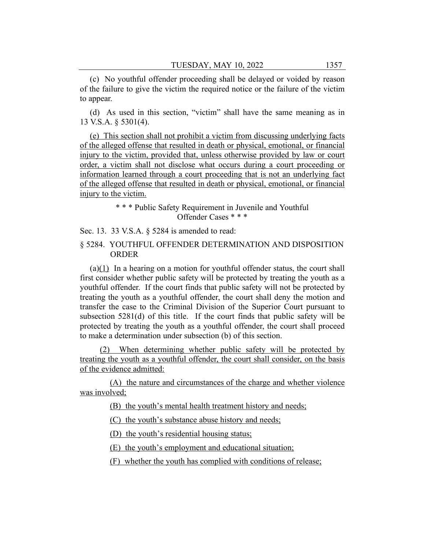(c) No youthful offender proceeding shall be delayed or voided by reason of the failure to give the victim the required notice or the failure of the victim to appear.

(d) As used in this section, "victim" shall have the same meaning as in 13 V.S.A. § 5301(4).

(e) This section shall not prohibit a victim from discussing underlying facts of the alleged offense that resulted in death or physical, emotional, or financial injury to the victim, provided that, unless otherwise provided by law or court order, a victim shall not disclose what occurs during a court proceeding or information learned through a court proceeding that is not an underlying fact of the alleged offense that resulted in death or physical, emotional, or financial injury to the victim.

# \* \* \* Public Safety Requirement in Juvenile and Youthful Offender Cases \* \* \*

Sec. 13. 33 V.S.A. § 5284 is amended to read:

# § 5284. YOUTHFUL OFFENDER DETERMINATION AND DISPOSITION ORDER

(a)(1) In a hearing on a motion for youthful offender status, the court shall first consider whether public safety will be protected by treating the youth as a youthful offender. If the court finds that public safety will not be protected by treating the youth as a youthful offender, the court shall deny the motion and transfer the case to the Criminal Division of the Superior Court pursuant to subsection 5281(d) of this title. If the court finds that public safety will be protected by treating the youth as a youthful offender, the court shall proceed to make a determination under subsection (b) of this section.

(2) When determining whether public safety will be protected by treating the youth as a youthful offender, the court shall consider, on the basis of the evidence admitted:

(A) the nature and circumstances of the charge and whether violence was involved;

(B) the youth's mental health treatment history and needs;

(C) the youth's substance abuse history and needs;

(D) the youth's residential housing status;

(E) the youth's employment and educational situation;

(F) whether the youth has complied with conditions of release;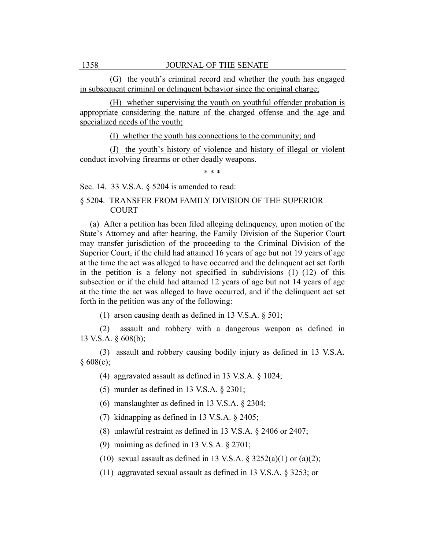(G) the youth's criminal record and whether the youth has engaged in subsequent criminal or delinquent behavior since the original charge;

(H) whether supervising the youth on youthful offender probation is appropriate considering the nature of the charged offense and the age and specialized needs of the youth;

(I) whether the youth has connections to the community; and

(J) the youth's history of violence and history of illegal or violent conduct involving firearms or other deadly weapons.

\* \* \*

Sec. 14. 33 V.S.A. § 5204 is amended to read:

# § 5204. TRANSFER FROM FAMILY DIVISION OF THE SUPERIOR COURT

(a) After a petition has been filed alleging delinquency, upon motion of the State's Attorney and after hearing, the Family Division of the Superior Court may transfer jurisdiction of the proceeding to the Criminal Division of the Superior Court, if the child had attained 16 years of age but not 19 years of age at the time the act was alleged to have occurred and the delinquent act set forth in the petition is a felony not specified in subdivisions  $(1)$ – $(12)$  of this subsection or if the child had attained 12 years of age but not 14 years of age at the time the act was alleged to have occurred, and if the delinquent act set forth in the petition was any of the following:

(1) arson causing death as defined in 13 V.S.A. § 501;

(2) assault and robbery with a dangerous weapon as defined in 13 V.S.A. § 608(b);

(3) assault and robbery causing bodily injury as defined in 13 V.S.A.  $§ 608(c);$ 

(4) aggravated assault as defined in 13 V.S.A. § 1024;

(5) murder as defined in 13 V.S.A. § 2301;

(6) manslaughter as defined in 13 V.S.A. § 2304;

(7) kidnapping as defined in 13 V.S.A. § 2405;

(8) unlawful restraint as defined in 13 V.S.A. § 2406 or 2407;

(9) maiming as defined in 13 V.S.A. § 2701;

(10) sexual assault as defined in 13 V.S.A.  $\S 3252(a)(1)$  or  $(a)(2)$ ;

(11) aggravated sexual assault as defined in 13 V.S.A. § 3253; or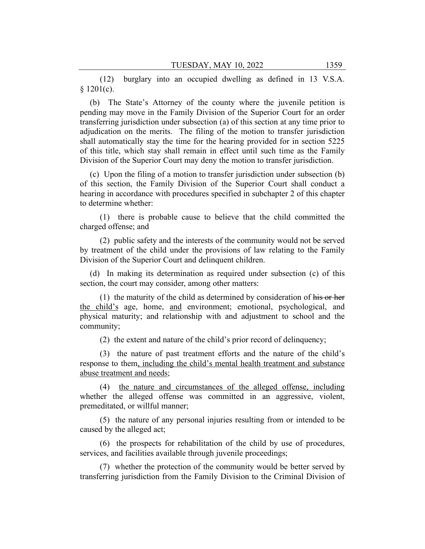(12) burglary into an occupied dwelling as defined in 13 V.S.A.  $§ 1201(c).$ 

(b) The State's Attorney of the county where the juvenile petition is pending may move in the Family Division of the Superior Court for an order transferring jurisdiction under subsection (a) of this section at any time prior to adjudication on the merits. The filing of the motion to transfer jurisdiction shall automatically stay the time for the hearing provided for in section 5225 of this title, which stay shall remain in effect until such time as the Family Division of the Superior Court may deny the motion to transfer jurisdiction.

(c) Upon the filing of a motion to transfer jurisdiction under subsection (b) of this section, the Family Division of the Superior Court shall conduct a hearing in accordance with procedures specified in subchapter 2 of this chapter to determine whether:

(1) there is probable cause to believe that the child committed the charged offense; and

(2) public safety and the interests of the community would not be served by treatment of the child under the provisions of law relating to the Family Division of the Superior Court and delinquent children.

(d) In making its determination as required under subsection (c) of this section, the court may consider, among other matters:

(1) the maturity of the child as determined by consideration of his or her the child's age, home, and environment; emotional, psychological, and physical maturity; and relationship with and adjustment to school and the community;

(2) the extent and nature of the child's prior record of delinquency;

(3) the nature of past treatment efforts and the nature of the child's response to them, including the child's mental health treatment and substance abuse treatment and needs;

(4) the nature and circumstances of the alleged offense, including whether the alleged offense was committed in an aggressive, violent, premeditated, or willful manner;

(5) the nature of any personal injuries resulting from or intended to be caused by the alleged act;

(6) the prospects for rehabilitation of the child by use of procedures, services, and facilities available through juvenile proceedings;

(7) whether the protection of the community would be better served by transferring jurisdiction from the Family Division to the Criminal Division of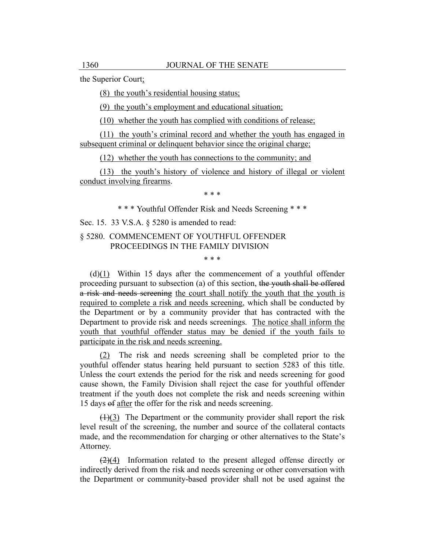the Superior Court;

(8) the youth's residential housing status;

(9) the youth's employment and educational situation;

(10) whether the youth has complied with conditions of release;

(11) the youth's criminal record and whether the youth has engaged in subsequent criminal or delinquent behavior since the original charge;

(12) whether the youth has connections to the community; and

(13) the youth's history of violence and history of illegal or violent conduct involving firearms.

\* \* \*

\* \* \* Youthful Offender Risk and Needs Screening \* \* \*

Sec. 15. 33 V.S.A. § 5280 is amended to read:

§ 5280. COMMENCEMENT OF YOUTHFUL OFFENDER PROCEEDINGS IN THE FAMILY DIVISION

\* \* \*

(d)(1) Within 15 days after the commencement of a youthful offender proceeding pursuant to subsection (a) of this section, the youth shall be offered a risk and needs screening the court shall notify the youth that the youth is required to complete a risk and needs screening, which shall be conducted by the Department or by a community provider that has contracted with the Department to provide risk and needs screenings. The notice shall inform the youth that youthful offender status may be denied if the youth fails to participate in the risk and needs screening.

(2) The risk and needs screening shall be completed prior to the youthful offender status hearing held pursuant to section 5283 of this title. Unless the court extends the period for the risk and needs screening for good cause shown, the Family Division shall reject the case for youthful offender treatment if the youth does not complete the risk and needs screening within 15 days of after the offer for the risk and needs screening.

 $(1)(3)$  The Department or the community provider shall report the risk level result of the screening, the number and source of the collateral contacts made, and the recommendation for charging or other alternatives to the State's Attorney.

 $(2)(4)$  Information related to the present alleged offense directly or indirectly derived from the risk and needs screening or other conversation with the Department or community-based provider shall not be used against the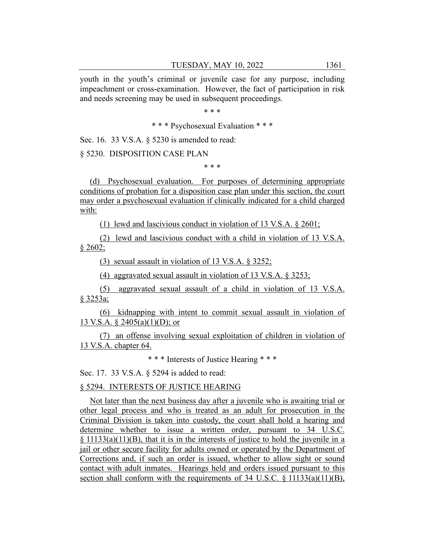youth in the youth's criminal or juvenile case for any purpose, including impeachment or cross-examination. However, the fact of participation in risk and needs screening may be used in subsequent proceedings.

\* \* \*

\* \* \* Psychosexual Evaluation \* \* \*

Sec. 16. 33 V.S.A. § 5230 is amended to read:

§ 5230. DISPOSITION CASE PLAN

\* \* \*

(d) Psychosexual evaluation. For purposes of determining appropriate conditions of probation for a disposition case plan under this section, the court may order a psychosexual evaluation if clinically indicated for a child charged with:

(1) lewd and lascivious conduct in violation of 13 V.S.A. § 2601;

(2) lewd and lascivious conduct with a child in violation of 13 V.S.A.  $§ 2602;$ 

(3) sexual assault in violation of 13 V.S.A. § 3252;

(4) aggravated sexual assault in violation of 13 V.S.A. § 3253;

(5) aggravated sexual assault of a child in violation of 13 V.S.A. § 3253a;

(6) kidnapping with intent to commit sexual assault in violation of 13 V.S.A. § 2405(a)(1)(D); or

(7) an offense involving sexual exploitation of children in violation of 13 V.S.A. chapter 64.

\* \* \* Interests of Justice Hearing \* \* \*

Sec. 17. 33 V.S.A. § 5294 is added to read:

# § 5294. INTERESTS OF JUSTICE HEARING

Not later than the next business day after a juvenile who is awaiting trial or other legal process and who is treated as an adult for prosecution in the Criminal Division is taken into custody, the court shall hold a hearing and determine whether to issue a written order, pursuant to 34 U.S.C. § 11133(a)(11)(B), that it is in the interests of justice to hold the juvenile in a jail or other secure facility for adults owned or operated by the Department of Corrections and, if such an order is issued, whether to allow sight or sound contact with adult inmates. Hearings held and orders issued pursuant to this section shall conform with the requirements of 34 U.S.C. § 11133(a)(11)(B),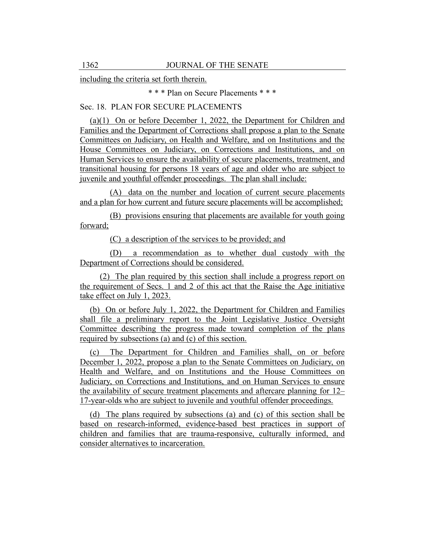including the criteria set forth therein.

\* \* \* Plan on Secure Placements \* \* \*

# Sec. 18. PLAN FOR SECURE PLACEMENTS

(a)(1) On or before December 1, 2022, the Department for Children and Families and the Department of Corrections shall propose a plan to the Senate Committees on Judiciary, on Health and Welfare, and on Institutions and the House Committees on Judiciary, on Corrections and Institutions, and on Human Services to ensure the availability of secure placements, treatment, and transitional housing for persons 18 years of age and older who are subject to juvenile and youthful offender proceedings. The plan shall include:

(A) data on the number and location of current secure placements and a plan for how current and future secure placements will be accomplished;

(B) provisions ensuring that placements are available for youth going forward;

(C) a description of the services to be provided; and

(D) a recommendation as to whether dual custody with the Department of Corrections should be considered.

(2) The plan required by this section shall include a progress report on the requirement of Secs. 1 and 2 of this act that the Raise the Age initiative take effect on July 1, 2023.

(b) On or before July 1, 2022, the Department for Children and Families shall file a preliminary report to the Joint Legislative Justice Oversight Committee describing the progress made toward completion of the plans required by subsections (a) and (c) of this section.

(c) The Department for Children and Families shall, on or before December 1, 2022, propose a plan to the Senate Committees on Judiciary, on Health and Welfare, and on Institutions and the House Committees on Judiciary, on Corrections and Institutions, and on Human Services to ensure the availability of secure treatment placements and aftercare planning for 12– 17-year-olds who are subject to juvenile and youthful offender proceedings.

(d) The plans required by subsections (a) and (c) of this section shall be based on research-informed, evidence-based best practices in support of children and families that are trauma-responsive, culturally informed, and consider alternatives to incarceration.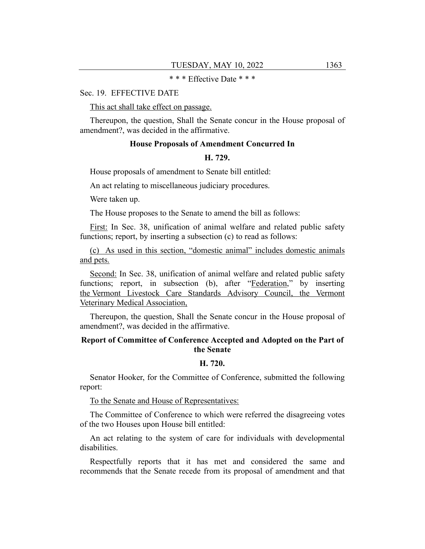# \* \* \* Effective Date \* \* \*

## Sec. 19. EFFECTIVE DATE

This act shall take effect on passage.

Thereupon, the question, Shall the Senate concur in the House proposal of amendment?, was decided in the affirmative.

#### **House Proposals of Amendment Concurred In**

#### **H. 729.**

House proposals of amendment to Senate bill entitled:

An act relating to miscellaneous judiciary procedures.

Were taken up.

The House proposes to the Senate to amend the bill as follows:

First: In Sec. 38, unification of animal welfare and related public safety functions; report, by inserting a subsection (c) to read as follows:

(c) As used in this section, "domestic animal" includes domestic animals and pets.

Second: In Sec. 38, unification of animal welfare and related public safety functions; report, in subsection (b), after "Federation," by inserting the Vermont Livestock Care Standards Advisory Council, the Vermont Veterinary Medical Association,

Thereupon, the question, Shall the Senate concur in the House proposal of amendment?, was decided in the affirmative.

# **Report of Committee of Conference Accepted and Adopted on the Part of the Senate**

# **H. 720.**

Senator Hooker, for the Committee of Conference, submitted the following report:

To the Senate and House of Representatives:

The Committee of Conference to which were referred the disagreeing votes of the two Houses upon House bill entitled:

An act relating to the system of care for individuals with developmental disabilities.

Respectfully reports that it has met and considered the same and recommends that the Senate recede from its proposal of amendment and that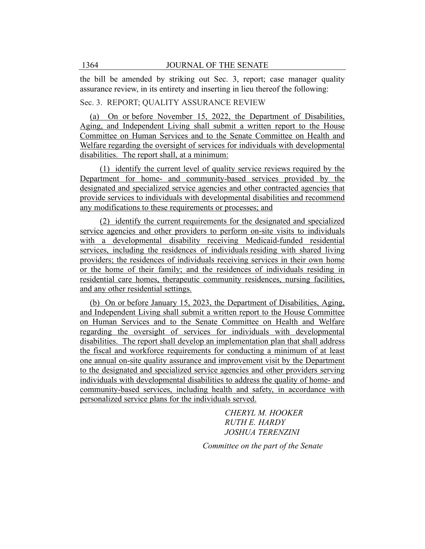the bill be amended by striking out Sec. 3, report; case manager quality assurance review, in its entirety and inserting in lieu thereof the following:

# Sec. 3. REPORT; QUALITY ASSURANCE REVIEW

(a) On or before November 15, 2022, the Department of Disabilities, Aging, and Independent Living shall submit a written report to the House Committee on Human Services and to the Senate Committee on Health and Welfare regarding the oversight of services for individuals with developmental disabilities. The report shall, at a minimum:

(1) identify the current level of quality service reviews required by the Department for home- and community-based services provided by the designated and specialized service agencies and other contracted agencies that provide services to individuals with developmental disabilities and recommend any modifications to these requirements or processes; and

(2) identify the current requirements for the designated and specialized service agencies and other providers to perform on-site visits to individuals with a developmental disability receiving Medicaid-funded residential services, including the residences of individuals residing with shared living providers; the residences of individuals receiving services in their own home or the home of their family; and the residences of individuals residing in residential care homes, therapeutic community residences, nursing facilities, and any other residential settings.

(b) On or before January 15, 2023, the Department of Disabilities, Aging, and Independent Living shall submit a written report to the House Committee on Human Services and to the Senate Committee on Health and Welfare regarding the oversight of services for individuals with developmental disabilities. The report shall develop an implementation plan that shall address the fiscal and workforce requirements for conducting a minimum of at least one annual on-site quality assurance and improvement visit by the Department to the designated and specialized service agencies and other providers serving individuals with developmental disabilities to address the quality of home- and community-based services, including health and safety, in accordance with personalized service plans for the individuals served.

> *CHERYL M. HOOKER RUTH E. HARDY JOSHUA TERENZINI*

*Committee on the part of the Senate*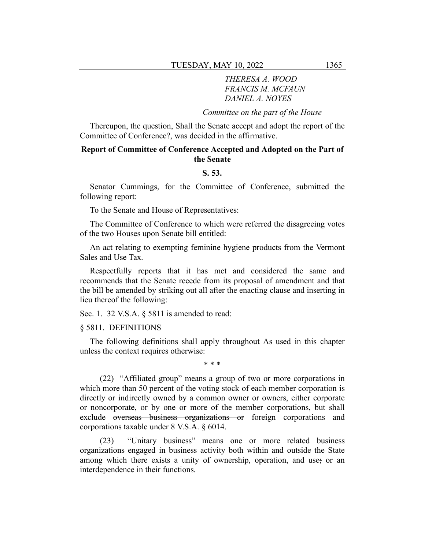# *THERESA A. WOOD FRANCIS M. MCFAUN DANIEL A. NOYES*

*Committee on the part of the House*

Thereupon, the question, Shall the Senate accept and adopt the report of the Committee of Conference?, was decided in the affirmative.

# **Report of Committee of Conference Accepted and Adopted on the Part of the Senate**

# **S. 53.**

Senator Cummings, for the Committee of Conference, submitted the following report:

To the Senate and House of Representatives:

The Committee of Conference to which were referred the disagreeing votes of the two Houses upon Senate bill entitled:

An act relating to exempting feminine hygiene products from the Vermont Sales and Use Tax.

Respectfully reports that it has met and considered the same and recommends that the Senate recede from its proposal of amendment and that the bill be amended by striking out all after the enacting clause and inserting in lieu thereof the following:

Sec. 1. 32 V.S.A. § 5811 is amended to read:

§ 5811. DEFINITIONS

The following definitions shall apply throughout As used in this chapter unless the context requires otherwise:

\* \* \*

(22) "Affiliated group" means a group of two or more corporations in which more than 50 percent of the voting stock of each member corporation is directly or indirectly owned by a common owner or owners, either corporate or noncorporate, or by one or more of the member corporations, but shall exclude overseas business organizations or foreign corporations and corporations taxable under 8 V.S.A. § 6014.

(23) "Unitary business" means one or more related business organizations engaged in business activity both within and outside the State among which there exists a unity of ownership, operation, and use; or an interdependence in their functions.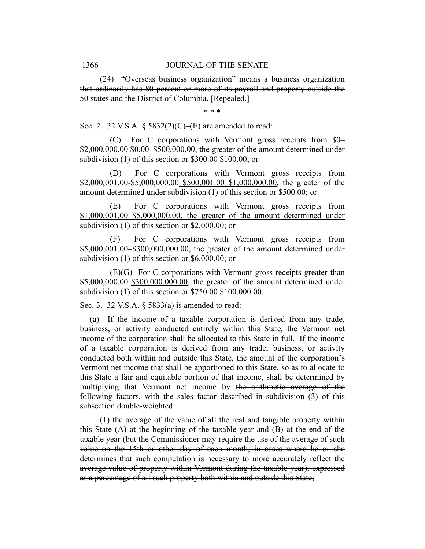(24) "Overseas business organization" means a business organization that ordinarily has 80 percent or more of its payroll and property outside the 50 states and the District of Columbia. [Repealed.]

\* \* \*

Sec. 2. 32 V.S.A.  $\S 5832(2)(C)$ –(E) are amended to read:

(C) For C corporations with Vermont gross receipts from \$0– \$2,000,000.00 \$0.00–\$500,000.00, the greater of the amount determined under subdivision (1) of this section or  $$300.00$$  \$100.00; or

(D) For C corporations with Vermont gross receipts from \$2,000,001.00-\$5,000,000.00 \$500,001.00-\$1,000,000.00, the greater of the amount determined under subdivision (1) of this section or \$500.00; or

(E) For C corporations with Vermont gross receipts from \$1,000,001.00–\$5,000,000.00, the greater of the amount determined under subdivision (1) of this section or \$2,000.00; or

(F) For C corporations with Vermont gross receipts from \$5,000,001.00–\$300,000,000.00, the greater of the amount determined under subdivision (1) of this section or \$6,000.00; or

(E)(G) For C corporations with Vermont gross receipts greater than \$5,000,000.00 \$300,000,000.00, the greater of the amount determined under subdivision (1) of this section or \$750.00 \$100,000.00.

Sec. 3. 32 V.S.A. § 5833(a) is amended to read:

(a) If the income of a taxable corporation is derived from any trade, business, or activity conducted entirely within this State, the Vermont net income of the corporation shall be allocated to this State in full. If the income of a taxable corporation is derived from any trade, business, or activity conducted both within and outside this State, the amount of the corporation's Vermont net income that shall be apportioned to this State, so as to allocate to this State a fair and equitable portion of that income, shall be determined by multiplying that Vermont net income by the arithmetic average of the following factors, with the sales factor described in subdivision (3) of this subsection double-weighted:

(1) the average of the value of all the real and tangible property within this State  $(A)$  at the beginning of the taxable year and  $(B)$  at the end of the taxable year (but the Commissioner may require the use of the average of such value on the 15th or other day of each month, in cases where he or she determines that such computation is necessary to more accurately reflect the average value of property within Vermont during the taxable year), expressed as a percentage of all such property both within and outside this State;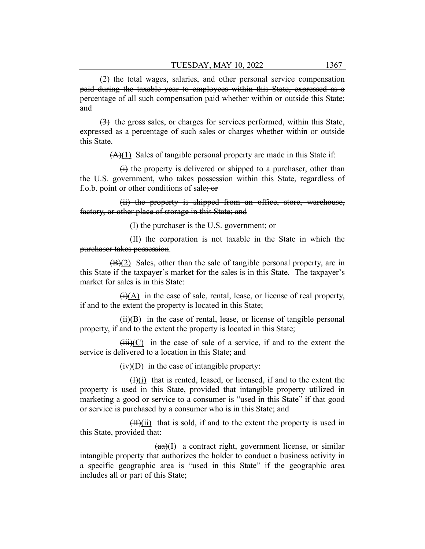(2) the total wages, salaries, and other personal service compensation paid during the taxable year to employees within this State, expressed as a percentage of all such compensation paid whether within or outside this State; and

(3) the gross sales, or charges for services performed, within this State, expressed as a percentage of such sales or charges whether within or outside this State.

 $(A)(1)$  Sales of tangible personal property are made in this State if:

(i) the property is delivered or shipped to a purchaser, other than the U.S. government, who takes possession within this State, regardless of f.o.b. point or other conditions of sale; or

(ii) the property is shipped from an office, store, warehouse, factory, or other place of storage in this State; and

(I) the purchaser is the U.S. government; or

(II) the corporation is not taxable in the State in which the purchaser takes possession.

 $(B)(2)$  Sales, other than the sale of tangible personal property, are in this State if the taxpayer's market for the sales is in this State. The taxpayer's market for sales is in this State:

 $\overline{(i)}$ (A) in the case of sale, rental, lease, or license of real property, if and to the extent the property is located in this State;

 $(ii)(B)$  in the case of rental, lease, or license of tangible personal property, if and to the extent the property is located in this State;

 $(iii)(C)$  in the case of sale of a service, if and to the extent the service is delivered to a location in this State; and

 $(iv)(D)$  in the case of intangible property:

 $(H)(i)$  that is rented, leased, or licensed, if and to the extent the property is used in this State, provided that intangible property utilized in marketing a good or service to a consumer is "used in this State" if that good or service is purchased by a consumer who is in this State; and

 $(H)(ii)$  that is sold, if and to the extent the property is used in this State, provided that:

 $(aa)(I)$  a contract right, government license, or similar intangible property that authorizes the holder to conduct a business activity in a specific geographic area is "used in this State" if the geographic area includes all or part of this State;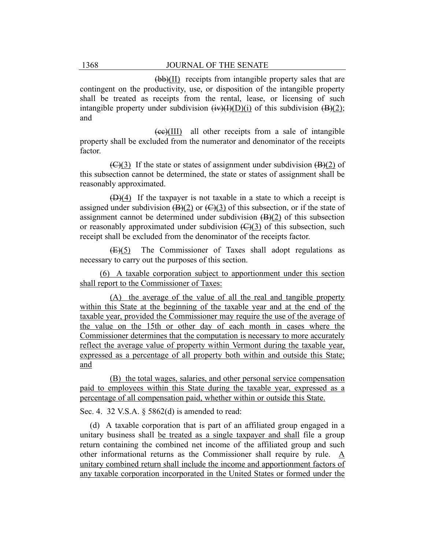(bb)(II) receipts from intangible property sales that are contingent on the productivity, use, or disposition of the intangible property shall be treated as receipts from the rental, lease, or licensing of such intangible property under subdivision  $(iv)(I)(D)(i)$  of this subdivision  $(B)(2)$ ; and

(cc)(III) all other receipts from a sale of intangible property shall be excluded from the numerator and denominator of the receipts factor.

 $f(\theta)$  (G)(3) If the state or states of assignment under subdivision  $f(\theta)$  of this subsection cannot be determined, the state or states of assignment shall be reasonably approximated.

 $(D)(4)$  If the taxpayer is not taxable in a state to which a receipt is assigned under subdivision  $(B)(2)$  or  $(C)(3)$  of this subsection, or if the state of assignment cannot be determined under subdivision  $(B)(2)$  of this subsection or reasonably approximated under subdivision  $(\bigoplus)(3)$  of this subsection, such receipt shall be excluded from the denominator of the receipts factor.

(E)(5) The Commissioner of Taxes shall adopt regulations as necessary to carry out the purposes of this section.

(6) A taxable corporation subject to apportionment under this section shall report to the Commissioner of Taxes:

(A) the average of the value of all the real and tangible property within this State at the beginning of the taxable year and at the end of the taxable year, provided the Commissioner may require the use of the average of the value on the 15th or other day of each month in cases where the Commissioner determines that the computation is necessary to more accurately reflect the average value of property within Vermont during the taxable year, expressed as a percentage of all property both within and outside this State; and

(B) the total wages, salaries, and other personal service compensation paid to employees within this State during the taxable year, expressed as a percentage of all compensation paid, whether within or outside this State.

Sec. 4. 32 V.S.A. § 5862(d) is amended to read:

(d) A taxable corporation that is part of an affiliated group engaged in a unitary business shall be treated as a single taxpayer and shall file a group return containing the combined net income of the affiliated group and such other informational returns as the Commissioner shall require by rule. A unitary combined return shall include the income and apportionment factors of any taxable corporation incorporated in the United States or formed under the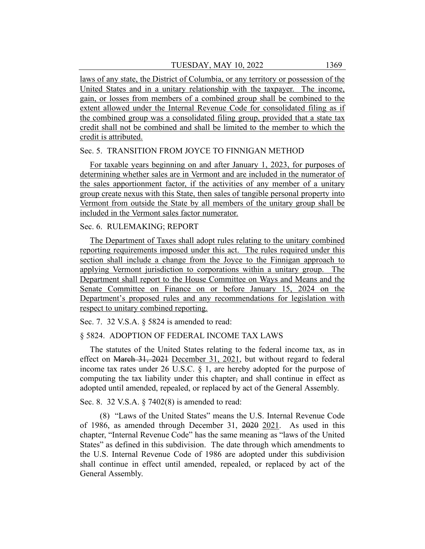laws of any state, the District of Columbia, or any territory or possession of the United States and in a unitary relationship with the taxpayer. The income, gain, or losses from members of a combined group shall be combined to the extent allowed under the Internal Revenue Code for consolidated filing as if the combined group was a consolidated filing group, provided that a state tax credit shall not be combined and shall be limited to the member to which the credit is attributed.

## Sec. 5. TRANSITION FROM JOYCE TO FINNIGAN METHOD

For taxable years beginning on and after January 1, 2023, for purposes of determining whether sales are in Vermont and are included in the numerator of the sales apportionment factor, if the activities of any member of a unitary group create nexus with this State, then sales of tangible personal property into Vermont from outside the State by all members of the unitary group shall be included in the Vermont sales factor numerator.

## Sec. 6. RULEMAKING; REPORT

The Department of Taxes shall adopt rules relating to the unitary combined reporting requirements imposed under this act. The rules required under this section shall include a change from the Joyce to the Finnigan approach to applying Vermont jurisdiction to corporations within a unitary group. The Department shall report to the House Committee on Ways and Means and the Senate Committee on Finance on or before January 15, 2024 on the Department's proposed rules and any recommendations for legislation with respect to unitary combined reporting.

Sec. 7. 32 V.S.A. § 5824 is amended to read:

# § 5824. ADOPTION OF FEDERAL INCOME TAX LAWS

The statutes of the United States relating to the federal income tax, as in effect on March 31, 2021 December 31, 2021, but without regard to federal income tax rates under 26 U.S.C.  $\S$  1, are hereby adopted for the purpose of computing the tax liability under this chapter, and shall continue in effect as adopted until amended, repealed, or replaced by act of the General Assembly.

Sec. 8. 32 V.S.A. § 7402(8) is amended to read:

(8) "Laws of the United States" means the U.S. Internal Revenue Code of 1986, as amended through December 31, 2020 2021. As used in this chapter, "Internal Revenue Code" has the same meaning as "laws of the United States" as defined in this subdivision. The date through which amendments to the U.S. Internal Revenue Code of 1986 are adopted under this subdivision shall continue in effect until amended, repealed, or replaced by act of the General Assembly.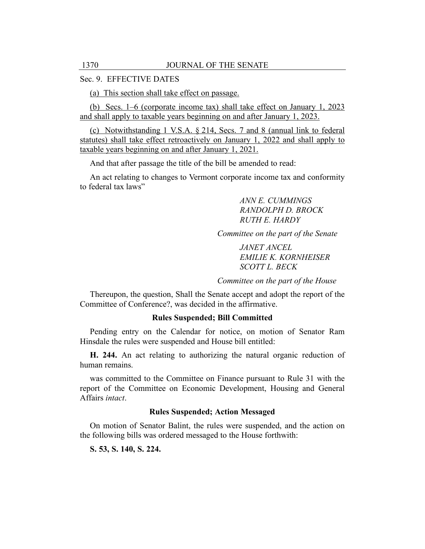## Sec. 9. EFFECTIVE DATES

(a) This section shall take effect on passage.

(b) Secs. 1–6 (corporate income tax) shall take effect on January 1, 2023 and shall apply to taxable years beginning on and after January 1, 2023.

(c) Notwithstanding 1 V.S.A. § 214, Secs. 7 and 8 (annual link to federal statutes) shall take effect retroactively on January 1, 2022 and shall apply to taxable years beginning on and after January 1, 2021.

And that after passage the title of the bill be amended to read:

An act relating to changes to Vermont corporate income tax and conformity to federal tax laws"

> *ANN E. CUMMINGS RANDOLPH D. BROCK RUTH E. HARDY*

*Committee on the part of the Senate*

*JANET ANCEL EMILIE K. KORNHEISER SCOTT L. BECK*

*Committee on the part of the House*

Thereupon, the question, Shall the Senate accept and adopt the report of the Committee of Conference?, was decided in the affirmative.

#### **Rules Suspended; Bill Committed**

Pending entry on the Calendar for notice, on motion of Senator Ram Hinsdale the rules were suspended and House bill entitled:

**H. 244.** An act relating to authorizing the natural organic reduction of human remains.

was committed to the Committee on Finance pursuant to Rule 31 with the report of the Committee on Economic Development, Housing and General Affairs *intact*.

## **Rules Suspended; Action Messaged**

On motion of Senator Balint, the rules were suspended, and the action on the following bills was ordered messaged to the House forthwith:

**S. 53, S. 140, S. 224.**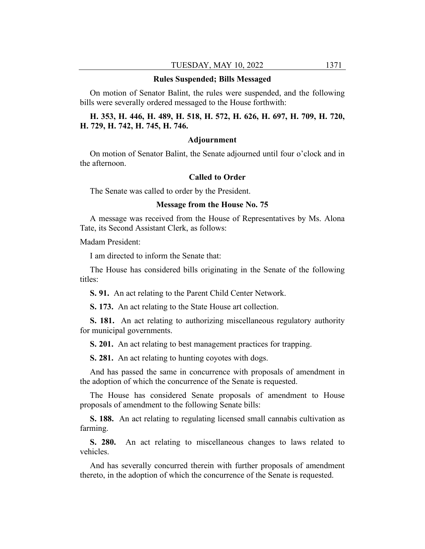#### **Rules Suspended; Bills Messaged**

On motion of Senator Balint, the rules were suspended, and the following bills were severally ordered messaged to the House forthwith:

# **H. 353, H. 446, H. 489, H. 518, H. 572, H. 626, H. 697, H. 709, H. 720, H. 729, H. 742, H. 745, H. 746.**

#### **Adjournment**

On motion of Senator Balint, the Senate adjourned until four o'clock and in the afternoon.

## **Called to Order**

The Senate was called to order by the President.

#### **Message from the House No. 75**

A message was received from the House of Representatives by Ms. Alona Tate, its Second Assistant Clerk, as follows:

Madam President:

I am directed to inform the Senate that:

The House has considered bills originating in the Senate of the following titles:

**S. 91.** An act relating to the Parent Child Center Network.

**S. 173.** An act relating to the State House art collection.

**S. 181.** An act relating to authorizing miscellaneous regulatory authority for municipal governments.

**S. 201.** An act relating to best management practices for trapping.

**S. 281.** An act relating to hunting coyotes with dogs.

And has passed the same in concurrence with proposals of amendment in the adoption of which the concurrence of the Senate is requested.

The House has considered Senate proposals of amendment to House proposals of amendment to the following Senate bills:

**S. 188.** An act relating to regulating licensed small cannabis cultivation as farming.

**S. 280.** An act relating to miscellaneous changes to laws related to vehicles.

And has severally concurred therein with further proposals of amendment thereto, in the adoption of which the concurrence of the Senate is requested.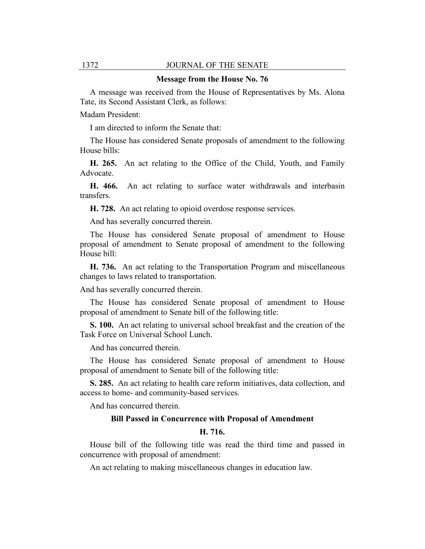## 1372 JOURNAL OF THE SENATE

#### **Message from the House No. 76**

A message was received from the House of Representatives by Ms. Alona Tate, its Second Assistant Clerk, as follows:

Madam President:

I am directed to inform the Senate that:

The House has considered Senate proposals of amendment to the following House bills:

**H. 265.** An act relating to the Office of the Child, Youth, and Family Advocate.

**H. 466.** An act relating to surface water withdrawals and interbasin transfers.

**H. 728.** An act relating to opioid overdose response services.

And has severally concurred therein.

The House has considered Senate proposal of amendment to House proposal of amendment to Senate proposal of amendment to the following House bill:

**H. 736.** An act relating to the Transportation Program and miscellaneous changes to laws related to transportation.

And has severally concurred therein.

The House has considered Senate proposal of amendment to House proposal of amendment to Senate bill of the following title:

**S. 100.** An act relating to universal school breakfast and the creation of the Task Force on Universal School Lunch.

And has concurred therein.

The House has considered Senate proposal of amendment to House proposal of amendment to Senate bill of the following title:

**S. 285.** An act relating to health care reform initiatives, data collection, and access to home- and community-based services.

And has concurred therein.

## **Bill Passed in Concurrence with Proposal of Amendment**

#### **H. 716.**

House bill of the following title was read the third time and passed in concurrence with proposal of amendment:

An act relating to making miscellaneous changes in education law.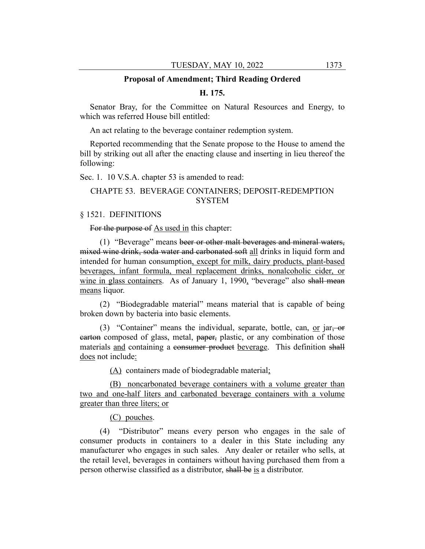#### **Proposal of Amendment; Third Reading Ordered**

## **H. 175.**

Senator Bray, for the Committee on Natural Resources and Energy, to which was referred House bill entitled:

An act relating to the beverage container redemption system.

Reported recommending that the Senate propose to the House to amend the bill by striking out all after the enacting clause and inserting in lieu thereof the following:

Sec. 1. 10 V.S.A. chapter 53 is amended to read:

# CHAPTE 53. BEVERAGE CONTAINERS; DEPOSIT-REDEMPTION SYSTEM

## § 1521. DEFINITIONS

For the purpose of As used in this chapter:

(1) "Beverage" means beer or other malt beverages and mineral waters, mixed wine drink, soda water and carbonated soft all drinks in liquid form and intended for human consumption, except for milk, dairy products, plant-based beverages, infant formula, meal replacement drinks, nonalcoholic cider, or wine in glass containers. As of January 1, 1990, "beverage" also shall mean means liquor.

(2) "Biodegradable material" means material that is capable of being broken down by bacteria into basic elements.

(3) "Container" means the individual, separate, bottle, can, or jar, or earton composed of glass, metal, paper, plastic, or any combination of those materials and containing a consumer product beverage. This definition shall does not include:

(A) containers made of biodegradable material;

(B) noncarbonated beverage containers with a volume greater than two and one-half liters and carbonated beverage containers with a volume greater than three liters; or

(C) pouches.

(4) "Distributor" means every person who engages in the sale of consumer products in containers to a dealer in this State including any manufacturer who engages in such sales. Any dealer or retailer who sells, at the retail level, beverages in containers without having purchased them from a person otherwise classified as a distributor, shall be is a distributor.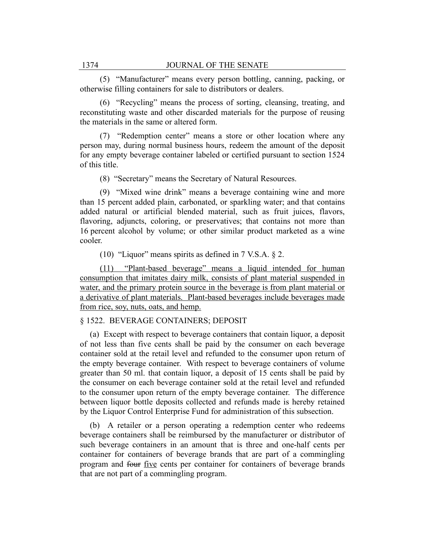(5) "Manufacturer" means every person bottling, canning, packing, or otherwise filling containers for sale to distributors or dealers.

(6) "Recycling" means the process of sorting, cleansing, treating, and reconstituting waste and other discarded materials for the purpose of reusing the materials in the same or altered form.

(7) "Redemption center" means a store or other location where any person may, during normal business hours, redeem the amount of the deposit for any empty beverage container labeled or certified pursuant to section 1524 of this title.

(8) "Secretary" means the Secretary of Natural Resources.

(9) "Mixed wine drink" means a beverage containing wine and more than 15 percent added plain, carbonated, or sparkling water; and that contains added natural or artificial blended material, such as fruit juices, flavors, flavoring, adjuncts, coloring, or preservatives; that contains not more than 16 percent alcohol by volume; or other similar product marketed as a wine cooler.

(10) "Liquor" means spirits as defined in  $7$  V.S.A.  $\S$  2.

(11) "Plant-based beverage" means a liquid intended for human consumption that imitates dairy milk, consists of plant material suspended in water, and the primary protein source in the beverage is from plant material or a derivative of plant materials. Plant-based beverages include beverages made from rice, soy, nuts, oats, and hemp.

# § 1522. BEVERAGE CONTAINERS; DEPOSIT

(a) Except with respect to beverage containers that contain liquor, a deposit of not less than five cents shall be paid by the consumer on each beverage container sold at the retail level and refunded to the consumer upon return of the empty beverage container. With respect to beverage containers of volume greater than 50 ml. that contain liquor, a deposit of 15 cents shall be paid by the consumer on each beverage container sold at the retail level and refunded to the consumer upon return of the empty beverage container. The difference between liquor bottle deposits collected and refunds made is hereby retained by the Liquor Control Enterprise Fund for administration of this subsection.

(b) A retailer or a person operating a redemption center who redeems beverage containers shall be reimbursed by the manufacturer or distributor of such beverage containers in an amount that is three and one-half cents per container for containers of beverage brands that are part of a commingling program and four five cents per container for containers of beverage brands that are not part of a commingling program.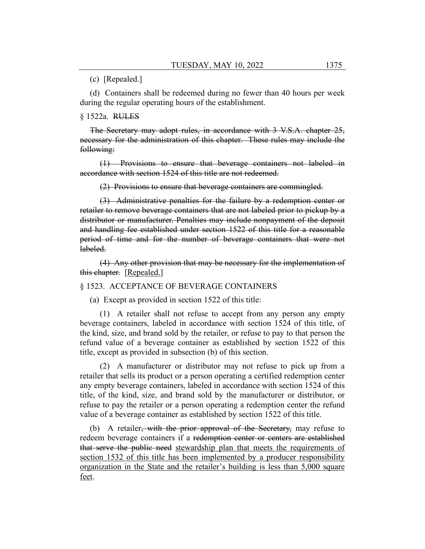## (c) [Repealed.]

(d) Containers shall be redeemed during no fewer than 40 hours per week during the regular operating hours of the establishment.

#### § 1522a. RULES

The Secretary may adopt rules, in accordance with 3 V.S.A. chapter 25, necessary for the administration of this chapter. These rules may include the following:

(1) Provisions to ensure that beverage containers not labeled in accordance with section 1524 of this title are not redeemed.

(2) Provisions to ensure that beverage containers are commingled.

(3) Administrative penalties for the failure by a redemption center or retailer to remove beverage containers that are not labeled prior to pickup by a distributor or manufacturer. Penalties may include nonpayment of the deposit and handling fee established under section 1522 of this title for a reasonable period of time and for the number of beverage containers that were not labeled.

(4) Any other provision that may be necessary for the implementation of this chapter. [Repealed.]

## § 1523. ACCEPTANCE OF BEVERAGE CONTAINERS

(a) Except as provided in section 1522 of this title:

(1) A retailer shall not refuse to accept from any person any empty beverage containers, labeled in accordance with section 1524 of this title, of the kind, size, and brand sold by the retailer, or refuse to pay to that person the refund value of a beverage container as established by section 1522 of this title, except as provided in subsection (b) of this section.

(2) A manufacturer or distributor may not refuse to pick up from a retailer that sells its product or a person operating a certified redemption center any empty beverage containers, labeled in accordance with section 1524 of this title, of the kind, size, and brand sold by the manufacturer or distributor, or refuse to pay the retailer or a person operating a redemption center the refund value of a beverage container as established by section 1522 of this title.

(b) A retailer<del>, with the prior approval of the Secretary,</del> may refuse to redeem beverage containers if a redemption center or centers are established that serve the public need stewardship plan that meets the requirements of section 1532 of this title has been implemented by a producer responsibility organization in the State and the retailer's building is less than 5,000 square feet.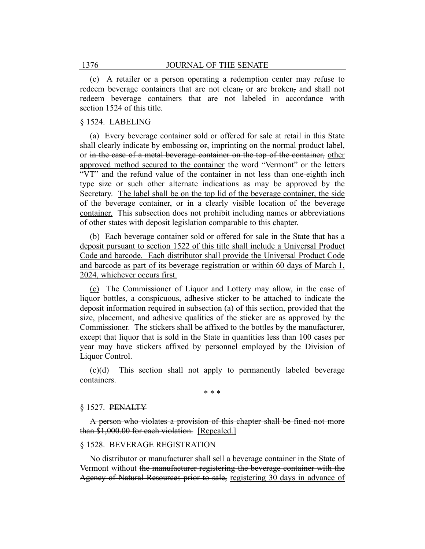(c) A retailer or a person operating a redemption center may refuse to redeem beverage containers that are not clean, or are broken, and shall not redeem beverage containers that are not labeled in accordance with section 1524 of this title.

## § 1524. LABELING

(a) Every beverage container sold or offered for sale at retail in this State shall clearly indicate by embossing or, imprinting on the normal product label, or in the case of a metal beverage container on the top of the container, other approved method secured to the container the word "Vermont" or the letters "VT" and the refund value of the container in not less than one-eighth inch type size or such other alternate indications as may be approved by the Secretary. The label shall be on the top lid of the beverage container, the side of the beverage container, or in a clearly visible location of the beverage container. This subsection does not prohibit including names or abbreviations of other states with deposit legislation comparable to this chapter.

(b) Each beverage container sold or offered for sale in the State that has a deposit pursuant to section 1522 of this title shall include a Universal Product Code and barcode. Each distributor shall provide the Universal Product Code and barcode as part of its beverage registration or within 60 days of March 1, 2024, whichever occurs first.

(c) The Commissioner of Liquor and Lottery may allow, in the case of liquor bottles, a conspicuous, adhesive sticker to be attached to indicate the deposit information required in subsection (a) of this section, provided that the size, placement, and adhesive qualities of the sticker are as approved by the Commissioner. The stickers shall be affixed to the bottles by the manufacturer, except that liquor that is sold in the State in quantities less than 100 cases per year may have stickers affixed by personnel employed by the Division of Liquor Control.

 $\left(\frac{e}{d}\right)$  This section shall not apply to permanently labeled beverage containers.

\* \* \*

## § 1527. PENALTY

A person who violates a provision of this chapter shall be fined not more than \$1,000.00 for each violation. [Repealed.]

## § 1528. BEVERAGE REGISTRATION

No distributor or manufacturer shall sell a beverage container in the State of Vermont without the manufacturer registering the beverage container with the Agency of Natural Resources prior to sale, registering 30 days in advance of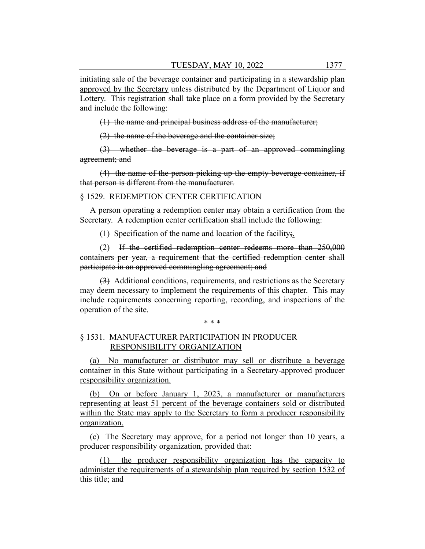initiating sale of the beverage container and participating in a stewardship plan approved by the Secretary unless distributed by the Department of Liquor and Lottery. This registration shall take place on a form provided by the Secretary and include the following:

(1) the name and principal business address of the manufacturer;

(2) the name of the beverage and the container size;

(3) whether the beverage is a part of an approved commingling agreement; and

(4) the name of the person picking up the empty beverage container, if that person is different from the manufacturer.

## § 1529. REDEMPTION CENTER CERTIFICATION

A person operating a redemption center may obtain a certification from the Secretary. A redemption center certification shall include the following:

(1) Specification of the name and location of the facility;

(2) If the certified redemption center redeems more than 250,000 containers per year, a requirement that the certified redemption center shall participate in an approved commingling agreement; and

(3) Additional conditions, requirements, and restrictions as the Secretary may deem necessary to implement the requirements of this chapter. This may include requirements concerning reporting, recording, and inspections of the operation of the site.

#### \* \* \*

# § 1531. MANUFACTURER PARTICIPATION IN PRODUCER RESPONSIBILITY ORGANIZATION

(a) No manufacturer or distributor may sell or distribute a beverage container in this State without participating in a Secretary-approved producer responsibility organization.

(b) On or before January 1, 2023, a manufacturer or manufacturers representing at least 51 percent of the beverage containers sold or distributed within the State may apply to the Secretary to form a producer responsibility organization.

(c) The Secretary may approve, for a period not longer than 10 years, a producer responsibility organization, provided that:

(1) the producer responsibility organization has the capacity to administer the requirements of a stewardship plan required by section 1532 of this title; and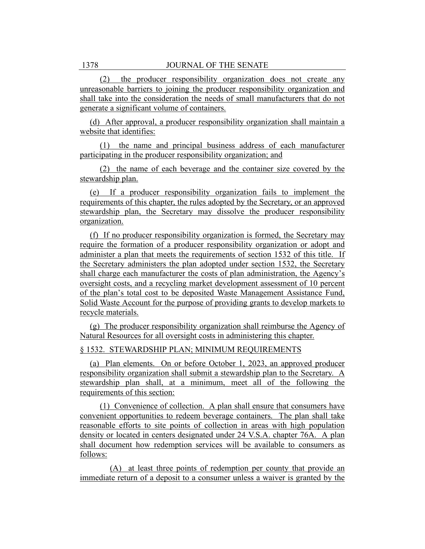(2) the producer responsibility organization does not create any unreasonable barriers to joining the producer responsibility organization and shall take into the consideration the needs of small manufacturers that do not generate a significant volume of containers.

(d) After approval, a producer responsibility organization shall maintain a website that identifies:

(1) the name and principal business address of each manufacturer participating in the producer responsibility organization; and

(2) the name of each beverage and the container size covered by the stewardship plan.

(e) If a producer responsibility organization fails to implement the requirements of this chapter, the rules adopted by the Secretary, or an approved stewardship plan, the Secretary may dissolve the producer responsibility organization.

(f) If no producer responsibility organization is formed, the Secretary may require the formation of a producer responsibility organization or adopt and administer a plan that meets the requirements of section 1532 of this title. If the Secretary administers the plan adopted under section 1532, the Secretary shall charge each manufacturer the costs of plan administration, the Agency's oversight costs, and a recycling market development assessment of 10 percent of the plan's total cost to be deposited Waste Management Assistance Fund, Solid Waste Account for the purpose of providing grants to develop markets to recycle materials.

(g) The producer responsibility organization shall reimburse the Agency of Natural Resources for all oversight costs in administering this chapter.

## § 1532. STEWARDSHIP PLAN; MINIMUM REQUIREMENTS

(a) Plan elements. On or before October 1, 2023, an approved producer responsibility organization shall submit a stewardship plan to the Secretary. A stewardship plan shall, at a minimum, meet all of the following the requirements of this section:

(1) Convenience of collection. A plan shall ensure that consumers have convenient opportunities to redeem beverage containers. The plan shall take reasonable efforts to site points of collection in areas with high population density or located in centers designated under 24 V.S.A. chapter 76A. A plan shall document how redemption services will be available to consumers as follows:

(A) at least three points of redemption per county that provide an immediate return of a deposit to a consumer unless a waiver is granted by the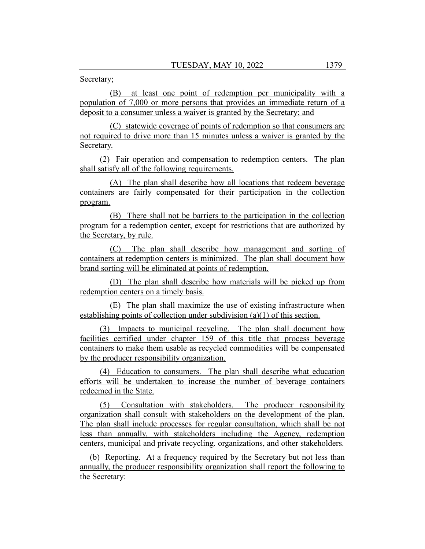Secretary;

(B) at least one point of redemption per municipality with a population of 7,000 or more persons that provides an immediate return of a deposit to a consumer unless a waiver is granted by the Secretary; and

(C) statewide coverage of points of redemption so that consumers are not required to drive more than 15 minutes unless a waiver is granted by the Secretary.

(2) Fair operation and compensation to redemption centers. The plan shall satisfy all of the following requirements.

(A) The plan shall describe how all locations that redeem beverage containers are fairly compensated for their participation in the collection program.

(B) There shall not be barriers to the participation in the collection program for a redemption center, except for restrictions that are authorized by the Secretary, by rule.

(C) The plan shall describe how management and sorting of containers at redemption centers is minimized. The plan shall document how brand sorting will be eliminated at points of redemption.

(D) The plan shall describe how materials will be picked up from redemption centers on a timely basis.

(E) The plan shall maximize the use of existing infrastructure when establishing points of collection under subdivision (a)(1) of this section.

(3) Impacts to municipal recycling. The plan shall document how facilities certified under chapter 159 of this title that process beverage containers to make them usable as recycled commodities will be compensated by the producer responsibility organization.

(4) Education to consumers. The plan shall describe what education efforts will be undertaken to increase the number of beverage containers redeemed in the State.

(5) Consultation with stakeholders. The producer responsibility organization shall consult with stakeholders on the development of the plan. The plan shall include processes for regular consultation, which shall be not less than annually, with stakeholders including the Agency, redemption centers, municipal and private recycling. organizations, and other stakeholders.

(b) Reporting. At a frequency required by the Secretary but not less than annually, the producer responsibility organization shall report the following to the Secretary: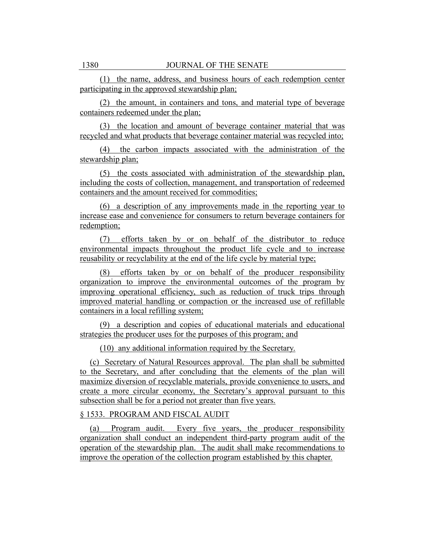(1) the name, address, and business hours of each redemption center participating in the approved stewardship plan;

(2) the amount, in containers and tons, and material type of beverage containers redeemed under the plan;

(3) the location and amount of beverage container material that was recycled and what products that beverage container material was recycled into;

(4) the carbon impacts associated with the administration of the stewardship plan;

(5) the costs associated with administration of the stewardship plan, including the costs of collection, management, and transportation of redeemed containers and the amount received for commodities;

(6) a description of any improvements made in the reporting year to increase ease and convenience for consumers to return beverage containers for redemption;

(7) efforts taken by or on behalf of the distributor to reduce environmental impacts throughout the product life cycle and to increase reusability or recyclability at the end of the life cycle by material type;

(8) efforts taken by or on behalf of the producer responsibility organization to improve the environmental outcomes of the program by improving operational efficiency, such as reduction of truck trips through improved material handling or compaction or the increased use of refillable containers in a local refilling system;

(9) a description and copies of educational materials and educational strategies the producer uses for the purposes of this program; and

(10) any additional information required by the Secretary.

(c) Secretary of Natural Resources approval. The plan shall be submitted to the Secretary, and after concluding that the elements of the plan will maximize diversion of recyclable materials, provide convenience to users, and create a more circular economy, the Secretary's approval pursuant to this subsection shall be for a period not greater than five years.

# § 1533. PROGRAM AND FISCAL AUDIT

(a) Program audit. Every five years, the producer responsibility organization shall conduct an independent third-party program audit of the operation of the stewardship plan. The audit shall make recommendations to improve the operation of the collection program established by this chapter.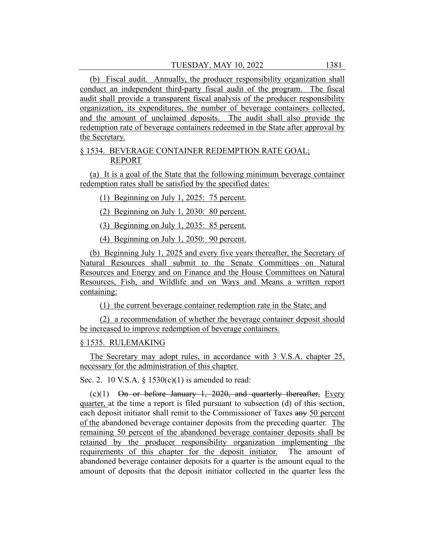(b) Fiscal audit. Annually, the producer responsibility organization shall conduct an independent third-party fiscal audit of the program. The fiscal audit shall provide a transparent fiscal analysis of the producer responsibility organization, its expenditures, the number of beverage containers collected, and the amount of unclaimed deposits. The audit shall also provide the redemption rate of beverage containers redeemed in the State after approval by the Secretary.

# § 1534. BEVERAGE CONTAINER REDEMPTION RATE GOAL; REPORT

(a) It is a goal of the State that the following minimum beverage container redemption rates shall be satisfied by the specified dates:

(1) Beginning on July 1, 2025: 75 percent.

(2) Beginning on July 1, 2030: 80 percent.

(3) Beginning on July 1, 2035: 85 percent.

(4) Beginning on July 1, 2050: 90 percent.

(b) Beginning July 1, 2025 and every five years thereafter, the Secretary of Natural Resources shall submit to the Senate Committees on Natural Resources and Energy and on Finance and the House Committees on Natural Resources, Fish, and Wildlife and on Ways and Means a written report containing:

(1) the current beverage container redemption rate in the State; and

(2) a recommendation of whether the beverage container deposit should be increased to improve redemption of beverage containers.

# § 1535. RULEMAKING

The Secretary may adopt rules, in accordance with 3 V.S.A. chapter 25, necessary for the administration of this chapter.

Sec. 2. 10 V.S.A.  $\S$  1530(c)(1) is amended to read:

 $(c)(1)$  On or before January 1, 2020, and quarterly thereafter, Every quarter, at the time a report is filed pursuant to subsection (d) of this section, each deposit initiator shall remit to the Commissioner of Taxes any 50 percent of the abandoned beverage container deposits from the preceding quarter. The remaining 50 percent of the abandoned beverage container deposits shall be retained by the producer responsibility organization implementing the requirements of this chapter for the deposit initiator. The amount of abandoned beverage container deposits for a quarter is the amount equal to the amount of deposits that the deposit initiator collected in the quarter less the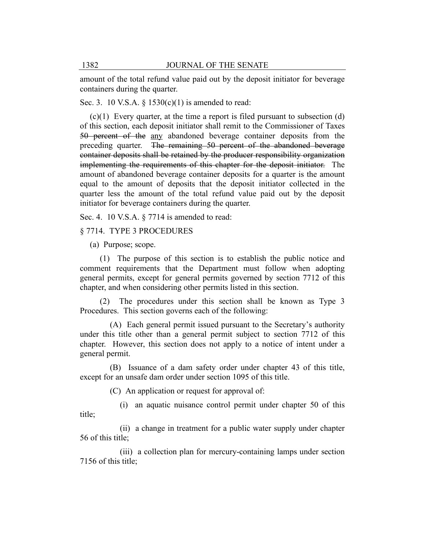amount of the total refund value paid out by the deposit initiator for beverage containers during the quarter.

Sec. 3. 10 V.S.A.  $\S$  1530(c)(1) is amended to read:

 $(c)(1)$  Every quarter, at the time a report is filed pursuant to subsection  $(d)$ of this section, each deposit initiator shall remit to the Commissioner of Taxes 50 percent of the any abandoned beverage container deposits from the preceding quarter. The remaining 50 percent of the abandoned beverage container deposits shall be retained by the producer responsibility organization implementing the requirements of this chapter for the deposit initiator. The amount of abandoned beverage container deposits for a quarter is the amount equal to the amount of deposits that the deposit initiator collected in the quarter less the amount of the total refund value paid out by the deposit initiator for beverage containers during the quarter.

Sec. 4. 10 V.S.A. § 7714 is amended to read:

§ 7714. TYPE 3 PROCEDURES

(a) Purpose; scope.

(1) The purpose of this section is to establish the public notice and comment requirements that the Department must follow when adopting general permits, except for general permits governed by section 7712 of this chapter, and when considering other permits listed in this section.

(2) The procedures under this section shall be known as Type 3 Procedures. This section governs each of the following:

(A) Each general permit issued pursuant to the Secretary's authority under this title other than a general permit subject to section 7712 of this chapter. However, this section does not apply to a notice of intent under a general permit.

(B) Issuance of a dam safety order under chapter 43 of this title, except for an unsafe dam order under section 1095 of this title.

(C) An application or request for approval of:

(i) an aquatic nuisance control permit under chapter 50 of this title;

(ii) a change in treatment for a public water supply under chapter 56 of this title;

(iii) a collection plan for mercury-containing lamps under section 7156 of this title;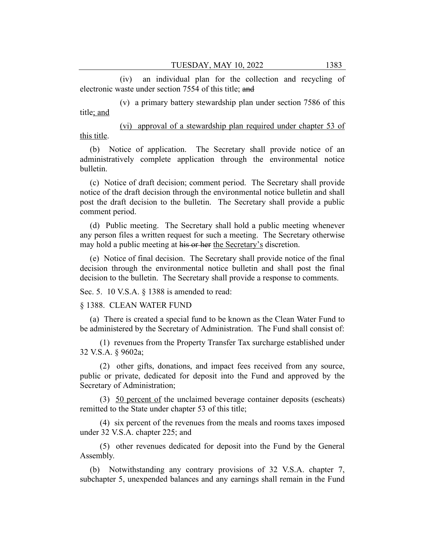(iv) an individual plan for the collection and recycling of electronic waste under section 7554 of this title; and

(v) a primary battery stewardship plan under section 7586 of this title; and

(vi) approval of a stewardship plan required under chapter 53 of this title.

(b) Notice of application. The Secretary shall provide notice of an administratively complete application through the environmental notice bulletin.

(c) Notice of draft decision; comment period. The Secretary shall provide notice of the draft decision through the environmental notice bulletin and shall post the draft decision to the bulletin. The Secretary shall provide a public comment period.

(d) Public meeting. The Secretary shall hold a public meeting whenever any person files a written request for such a meeting. The Secretary otherwise may hold a public meeting at his or her the Secretary's discretion.

(e) Notice of final decision. The Secretary shall provide notice of the final decision through the environmental notice bulletin and shall post the final decision to the bulletin. The Secretary shall provide a response to comments.

Sec. 5. 10 V.S.A. § 1388 is amended to read:

§ 1388. CLEAN WATER FUND

(a) There is created a special fund to be known as the Clean Water Fund to be administered by the Secretary of Administration. The Fund shall consist of:

(1) revenues from the Property Transfer Tax surcharge established under 32 V.S.A. § 9602a;

(2) other gifts, donations, and impact fees received from any source, public or private, dedicated for deposit into the Fund and approved by the Secretary of Administration;

(3) 50 percent of the unclaimed beverage container deposits (escheats) remitted to the State under chapter 53 of this title;

(4) six percent of the revenues from the meals and rooms taxes imposed under 32 V.S.A. chapter 225; and

(5) other revenues dedicated for deposit into the Fund by the General Assembly.

(b) Notwithstanding any contrary provisions of 32 V.S.A. chapter 7, subchapter 5, unexpended balances and any earnings shall remain in the Fund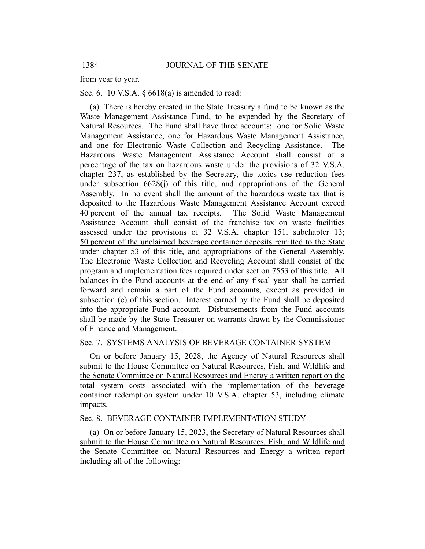from year to year.

Sec. 6. 10 V.S.A. § 6618(a) is amended to read:

(a) There is hereby created in the State Treasury a fund to be known as the Waste Management Assistance Fund, to be expended by the Secretary of Natural Resources. The Fund shall have three accounts: one for Solid Waste Management Assistance, one for Hazardous Waste Management Assistance, and one for Electronic Waste Collection and Recycling Assistance. The Hazardous Waste Management Assistance Account shall consist of a percentage of the tax on hazardous waste under the provisions of 32 V.S.A. chapter 237, as established by the Secretary, the toxics use reduction fees under subsection  $6628(i)$  of this title, and appropriations of the General Assembly. In no event shall the amount of the hazardous waste tax that is deposited to the Hazardous Waste Management Assistance Account exceed 40 percent of the annual tax receipts. The Solid Waste Management Assistance Account shall consist of the franchise tax on waste facilities assessed under the provisions of 32 V.S.A. chapter 151, subchapter 13; 50 percent of the unclaimed beverage container deposits remitted to the State under chapter 53 of this title, and appropriations of the General Assembly. The Electronic Waste Collection and Recycling Account shall consist of the program and implementation fees required under section 7553 of this title. All balances in the Fund accounts at the end of any fiscal year shall be carried forward and remain a part of the Fund accounts, except as provided in subsection (e) of this section. Interest earned by the Fund shall be deposited into the appropriate Fund account. Disbursements from the Fund accounts shall be made by the State Treasurer on warrants drawn by the Commissioner of Finance and Management.

## Sec. 7. SYSTEMS ANALYSIS OF BEVERAGE CONTAINER SYSTEM

On or before January 15, 2028, the Agency of Natural Resources shall submit to the House Committee on Natural Resources, Fish, and Wildlife and the Senate Committee on Natural Resources and Energy a written report on the total system costs associated with the implementation of the beverage container redemption system under 10 V.S.A. chapter 53, including climate impacts.

# Sec. 8. BEVERAGE CONTAINER IMPLEMENTATION STUDY

(a) On or before January 15, 2023, the Secretary of Natural Resources shall submit to the House Committee on Natural Resources, Fish, and Wildlife and the Senate Committee on Natural Resources and Energy a written report including all of the following: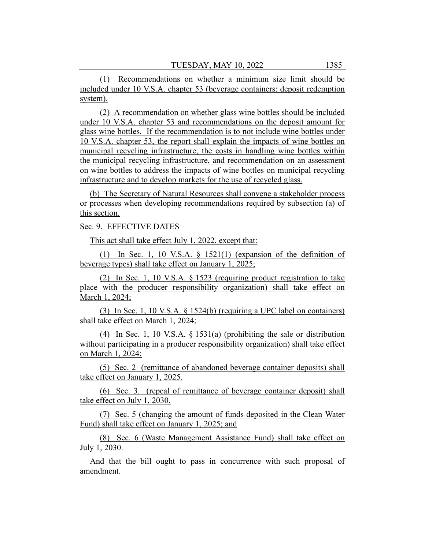(1) Recommendations on whether a minimum size limit should be included under 10 V.S.A. chapter 53 (beverage containers; deposit redemption system).

(2) A recommendation on whether glass wine bottles should be included under 10 V.S.A. chapter 53 and recommendations on the deposit amount for glass wine bottles. If the recommendation is to not include wine bottles under 10 V.S.A. chapter 53, the report shall explain the impacts of wine bottles on municipal recycling infrastructure, the costs in handling wine bottles within the municipal recycling infrastructure, and recommendation on an assessment on wine bottles to address the impacts of wine bottles on municipal recycling infrastructure and to develop markets for the use of recycled glass.

(b) The Secretary of Natural Resources shall convene a stakeholder process or processes when developing recommendations required by subsection (a) of this section.

Sec. 9. EFFECTIVE DATES

This act shall take effect July 1, 2022, except that:

(1) In Sec. 1, 10 V.S.A. § 1521(1) (expansion of the definition of beverage types) shall take effect on January 1, 2025;

(2) In Sec. 1, 10 V.S.A. § 1523 (requiring product registration to take place with the producer responsibility organization) shall take effect on March 1, 2024;

(3) In Sec. 1, 10 V.S.A. § 1524(b) (requiring a UPC label on containers) shall take effect on March 1, 2024;

(4) In Sec. 1, 10 V.S.A. § 1531(a) (prohibiting the sale or distribution without participating in a producer responsibility organization) shall take effect on March 1, 2024;

(5) Sec. 2 (remittance of abandoned beverage container deposits) shall take effect on January 1, 2025.

(6) Sec. 3. (repeal of remittance of beverage container deposit) shall take effect on July 1, 2030.

(7) Sec. 5 (changing the amount of funds deposited in the Clean Water Fund) shall take effect on January 1, 2025; and

(8) Sec. 6 (Waste Management Assistance Fund) shall take effect on July 1, 2030.

And that the bill ought to pass in concurrence with such proposal of amendment.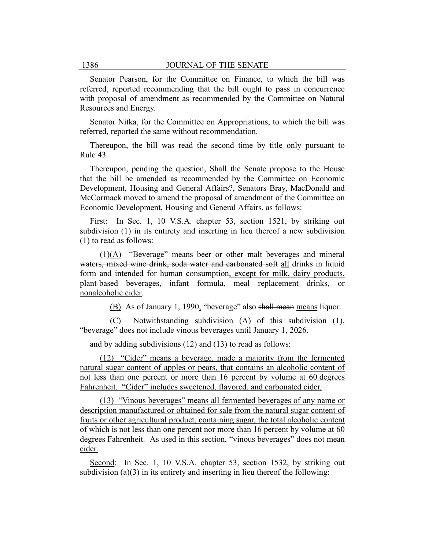Senator Pearson, for the Committee on Finance, to which the bill was referred, reported recommending that the bill ought to pass in concurrence with proposal of amendment as recommended by the Committee on Natural Resources and Energy.

Senator Nitka, for the Committee on Appropriations, to which the bill was referred, reported the same without recommendation.

Thereupon, the bill was read the second time by title only pursuant to Rule 43.

Thereupon, pending the question, Shall the Senate propose to the House that the bill be amended as recommended by the Committee on Economic Development, Housing and General Affairs?, Senators Bray, MacDonald and McCormack moved to amend the proposal of amendment of the Committee on Economic Development, Housing and General Affairs, as follows:

First: In Sec. 1, 10 V.S.A. chapter 53, section 1521, by striking out subdivision (1) in its entirety and inserting in lieu thereof a new subdivision (1) to read as follows:

(1)(A) "Beverage" means beer or other malt beverages and mineral waters, mixed wine drink, soda water and carbonated soft all drinks in liquid form and intended for human consumption, except for milk, dairy products, plant-based beverages, infant formula, meal replacement drinks, or nonalcoholic cider.

(B) As of January 1, 1990, "beverage" also shall mean means liquor.

(C) Notwithstanding subdivision (A) of this subdivision (1), "beverage" does not include vinous beverages until January 1, 2026.

and by adding subdivisions (12) and (13) to read as follows:

(12) "Cider" means a beverage, made a majority from the fermented natural sugar content of apples or pears, that contains an alcoholic content of not less than one percent or more than 16 percent by volume at 60 degrees Fahrenheit. "Cider" includes sweetened, flavored, and carbonated cider.

(13) "Vinous beverages" means all fermented beverages of any name or description manufactured or obtained for sale from the natural sugar content of fruits or other agricultural product, containing sugar, the total alcoholic content of which is not less than one percent nor more than 16 percent by volume at 60 degrees Fahrenheit. As used in this section, "vinous beverages" does not mean cider.

Second: In Sec. 1, 10 V.S.A. chapter 53, section 1532, by striking out subdivision (a)(3) in its entirety and inserting in lieu thereof the following: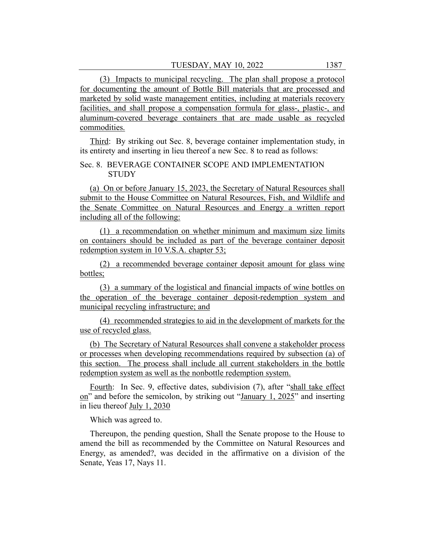(3) Impacts to municipal recycling. The plan shall propose a protocol for documenting the amount of Bottle Bill materials that are processed and marketed by solid waste management entities, including at materials recovery facilities, and shall propose a compensation formula for glass-, plastic-, and aluminum-covered beverage containers that are made usable as recycled commodities.

Third: By striking out Sec. 8, beverage container implementation study, in its entirety and inserting in lieu thereof a new Sec. 8 to read as follows:

# Sec. 8. BEVERAGE CONTAINER SCOPE AND IMPLEMENTATION **STUDY**

(a) On or before January 15, 2023, the Secretary of Natural Resources shall submit to the House Committee on Natural Resources, Fish, and Wildlife and the Senate Committee on Natural Resources and Energy a written report including all of the following:

(1) a recommendation on whether minimum and maximum size limits on containers should be included as part of the beverage container deposit redemption system in 10 V.S.A. chapter 53;

(2) a recommended beverage container deposit amount for glass wine bottles;

(3) a summary of the logistical and financial impacts of wine bottles on the operation of the beverage container deposit-redemption system and municipal recycling infrastructure; and

(4) recommended strategies to aid in the development of markets for the use of recycled glass.

(b) The Secretary of Natural Resources shall convene a stakeholder process or processes when developing recommendations required by subsection (a) of this section. The process shall include all current stakeholders in the bottle redemption system as well as the nonbottle redemption system.

Fourth: In Sec. 9, effective dates, subdivision (7), after "shall take effect on" and before the semicolon, by striking out "January 1, 2025" and inserting in lieu thereof July 1, 2030

Which was agreed to.

Thereupon, the pending question, Shall the Senate propose to the House to amend the bill as recommended by the Committee on Natural Resources and Energy, as amended?, was decided in the affirmative on a division of the Senate, Yeas 17, Nays 11.